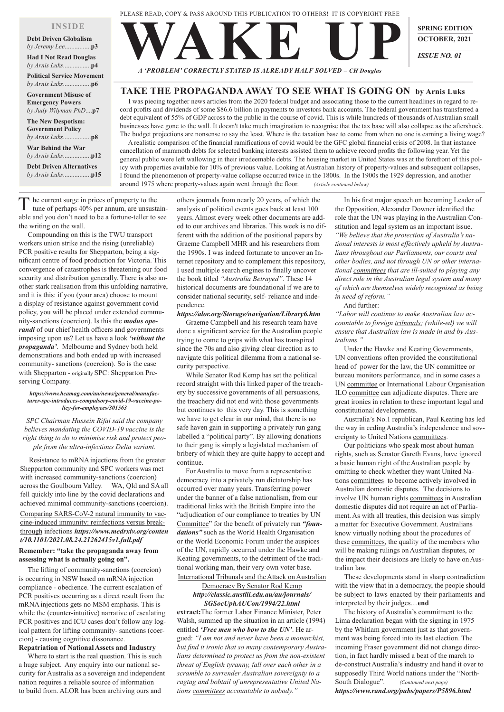*A 'PROBLEM' CORRECTLY STATED IS ALREADY HALF SOLVED – CH Douglas*

**WAKE UP SPRING EDITION OCTOBER, 2021** *ISSUE NO. 01*

# **TAKE THE PROPAGANDA AWAY TO SEE WHAT IS GOING ON by Arnis Luks**

 I was piecing together news articles from the 2020 federal budget and associating those to the current headlines in regard to record profits and dividends of some \$86.6 billion in payments to investors bank accounts. The federal government has transferred a debt equivalent of 55% of GDP across to the public in the course of covid. This is while hundreds of thousands of Australian small businesses have gone to the wall. It doesn't take much imagination to recognise that the tax base will also collapse as the aftershock. The budget projections are nonsense to say the least. Where is the taxation base to come from when no one is earning a living wage?

he current surge in prices of property to the tune of perhaps 40% per annum, are unsustainable and you don't need to be a fortune-teller to see the writing on the wall.

 A realistic comparison of the financial ramifications of covid would be the GFC global financial crisis of 2008. In that instance cancellation of mammoth debts for selected banking interests assisted them to achieve record profits the following year. Yet the general public were left wallowing in their irredeemable debts. The housing market in United States was at the forefront of this policy with properties available for 10% of previous value. Looking at Australian history of property-values and subsequent collapses, I found the phenomenon of property-value collapse occurred twice in the 1800s. In the 1900s the 1929 depression, and another around 1975 where property-values again went through the floor. *(Article continued below)*

Resistance to mRNA injections from the greater Shepparton community and SPC workers was met with increased community-sanctions (coercion) across the Goulbourn Valley. WA, Qld and SA all fell quickly into line by the covid declarations and achieved minimal community-sanctions (coercion).

 Compounding on this is the TWU transport workers union strike and the rising (unreliable) PCR positive results for Shepparton, being a significant centre of food production for Victoria. This convergence of catastrophes is threatening our food security and distribution generally. There is also another stark realisation from this unfolding narrative, and it is this: if you (your area) choose to mount a display of resistance against government covid policy, you will be placed under extended community-sanctions (coercion). Is this the *modus operandi* of our chief health officers and governments imposing upon us? Let us have a look *'without the propaganda'*. Melbourne and Sydney both held demonstrations and both ended up with increased community- sanctions (coercion). So is the case with Shepparton - originally SPC: Shepparton Preserving Company.

#### *https://www.hcamag.com/au/news/general/manufacturer-spc-introduces-compulsory-covid-19-vaccine-policy-for-employees/301563*

*SPC Chairman Hussein Rifai said the company believes mandating the COVID-19 vaccine is the right thing to do to minimise risk and protect people from the ultra-infectious Delta variant.*

Comparing SARS-CoV-2 natural immunity to vaccine-induced immunity: reinfections versus breakthrough infections *https://www.medrxiv.org/conten*

*t/10.1101/2021.08.24.21262415v1.full.pdf* **Remember: "take the propaganda away from assessing what is actually going on".**

 The lifting of community-sanctions (coercion) is occurring in NSW based on mRNA injection compliance - obedience. The current escalation of PCR positives occurring as a direct result from the mRNA injections gets no MSM emphasis. This is while the (counter-intuitive) narrative of escalating PCR positives and ICU cases don't follow any logical pattern for lifting community- sanctions (coercion) - causing cognitive dissonance. **Repatriation of National Assets and Industry**

Where to start is the real question. This is such a huge subject. Any enquiry into our national security for Australia as a sovereign and independent nation requires a reliable source of information to build from. ALOR has been archiving ours and

others journals from nearly 20 years, of which the analysis of political events goes back at least 100 years. Almost every week other documents are added to our archives and libraries. This week is no different with the addition of the positional papers by Graeme Campbell MHR and his researchers from the 1990s. I was indeed fortunate to uncover an Internet repository and to complement this repository, I used multiple search engines to finally uncover the book titled *"Australia Betrayed"*. These 14 historical documents are foundational if we are to consider national security, self- reliance and independence.

## *https://alor.org/Storage/navigation/Library6.htm*

Graeme Campbell and his research team have done a significant service for the Australian people trying to come to grips with what has transpired since the 70s and also giving clear direction as to navigate this political dilemma from a national security perspective.

While Senator Rod Kemp has set the political record straight with this linked paper of the treachery by successive governments of all persuasions, the treachery did not end with those governments but continues to this very day. This is something we have to get clear in our mind, that there is no safe haven gain in supporting a privately run gang labelled a "political party". By allowing donations to their gang is simply a legislated mechanism of bribery of which they are quite happy to accept and continue.

For Australia to move from a representative democracy into a privately run dictatorship has occurred over many years. Transferring power under the banner of a false nationalism, from our traditional links with the British Empire into the "adjudication of our compliance to treaties by UN Committee" for the benefit of privately run *"foundations"* such as the World Health Organisation

or the World Economic Forum under the auspices of the UN, rapidly occurred under the Hawke and Keating governments, to the detriment of the traditional working man, their very own voter base. International Tribunals and the Attack on Australian Democracy By Senator Rod Kemp *http://classic.austlii.edu.au/au/journals/ SGSocUphAUCon/1994/22.html* **extract:**The former Labor Finance Minister, Peter Walsh, summed up the situation in an article (1994) entitled *'Free men who bow to the UN'*. He argued: *"I am not and never have been a monarchist, but find it ironic that so many contemporary Australians determined to protect us from the non-existent threat of English tyranny, fall over each other in a scramble to surrender Australian sovereignty to a ragtag and bobtail of unrepresentative United Nations committees accountable to nobody."*

In his first major speech on becoming Leader of the Opposition, Alexander Downer identified the role that the UN was playing in the Australian Constitution and legal system as an important issue. *"We believe that the protection of Australia's national interests is most effectively upheld by Australians throughout our Parliaments, our courts and other bodies, and not through UN or other international committees that are ill-suited to playing any direct role in the Australian legal system and many of which are themselves widely recognised as being in need of reform."* 

And further:

*"Labor will continue to make Australian law accountable to foreign tribunals; (while-ed) we will ensure that Australian law is made in and by Australians."*

Under the Hawke and Keating Governments, UN conventions often provided the constitutional head of power for the law, the UN committee or bureau monitors performance, and in some cases a UN committee or International Labour Organisation ILO committee can adjudicate disputes. There are great ironies in relation to these important legal and constitutional developments.

Australia's No.1 republican, Paul Keating has led the way in ceding Australia's independence and sovereignty to United Nations committees.

Our politicians who speak most about human rights, such as Senator Gareth Evans, have ignored a basic human right of the Australian people by omitting to check whether they want United Nations committees to become actively involved in Australian domestic disputes. The decisions to involve UN human rights committees in Australian domestic disputes did not require an act of Parliament. As with all treaties, this decision was simply a matter for Executive Government. Australians know virtually nothing about the procedures of these committees, the quality of the members who will be making rulings on Australian disputes, or the impact their decisions are likely to have on Australian law.

 These developments stand in sharp contradiction with the view that in a democracy, the people should be subject to laws enacted by their parliaments and interpreted by their judges....**end**

The history of Australia's commitment to the Lima declaration began with the signing in 1975 by the Whitlam government just as that government was being forced into its last election. The incoming Fraser government did not change direction, in fact hardly missed a beat of the march to de-construct Australia's industry and hand it over to supposedly Third World nations under the "North-South Dialogue". *(Continued next page) https://www.rand.org/pubs/papers/P5896.html*

# **INSIDE**

| <b>Debt Driven Globalism</b>                                                    |  |
|---------------------------------------------------------------------------------|--|
| <b>Had I Not Read Douglas</b>                                                   |  |
| <b>Political Service Movement</b>                                               |  |
| <b>Government Misuse of</b><br><b>Emergency Powers</b><br>by Judy Wilyman PhDp7 |  |
| <b>The New Despotism:</b><br><b>Government Policy</b>                           |  |
| <b>War Behind the War</b>                                                       |  |
| <b>Debt Driven Alternatives</b>                                                 |  |
|                                                                                 |  |

PLEASE READ, COPY & PASS AROUND THIS PUBLICATION TO OTHERS! IT IS COPYRIGHT FREE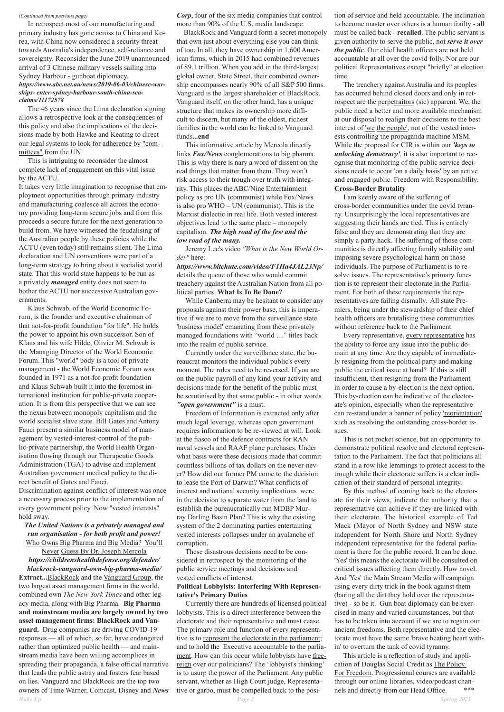#### *(Continued from previous page)*

 In retrospect most of our manufacturing and primary industry has gone across to China and Korea, with China now considered a security threat towards Australia's independence, self-reliance and sovereignty. Reconsider the June 2019 unannounced arrival of 3 Chinese military vessels sailing into Sydney Harbour - gunboat diplomacy. *https://www.abc.net.au/news/2019-06-03/chinese-warships- enter-sydney-harbour-south-china-seaclaims/11172578*

The 46 years since the Lima declaration signing allows a retrospective look at the consequences of this policy and also the implications of the decisions made by both Hawke and Keating to direct our legal systems to look for adherence by "committees" from the UN.

This is intriguing to reconsider the almost complete lack of engagement on this vital issue by the ACTU.

It takes very little imagination to recognise that employment opportunities through primary industry and manufacturing coalesce all across the economy providing long-term secure jobs and from this proceeds a secure future for the next generation to build from. We have witnessed the feudalising of the Australian people by these policies while the ACTU (even today) still remains silent. The Lima declaration and UN conventions were part of a long-term strategy to bring about a socialist world state. That this world state happens to be run as a privately *managed* entity does not seem to bother the ACTU nor successive Australian governments.

Klaus Schwab, of the World Economic Forum, is the founder and executive chairman of that not-for-profit foundation "for life". He holds the power to appoint his own successor. Son of Klaus and his wife Hilde, Olivier M. Schwab is the Managing Director of the World Economic Forum. This "world" body is a tool of private management - the World Economic Forum was founded in 1971 as a not-for-profit foundation and Klaus Schwab built it into the foremost international institution for public-private cooperation. It is from this perspective that we can see the nexus between monopoly capitalism and the world socialist slave state. Bill Gates and Antony Fauci present a similar business model of management by vested-interest-control of the public-private partnership, the World Health Organisation flowing through our Therapeutic Goods Administration (TGA) to advise and implement Australian government medical policy to the direct benefit of Gates and Fauci.

Discrimination against conflict of interest was once a necessary process prior to the implementation of every government policy. Now "vested interests" hold sway.

*The United Nations is a privately managed and run organisation - for both profit and power!* Who Owns Big Pharma and Big Media? You'll Never Guess By Dr. Joseph Mercola *https://childrenshealthdefense.org/defender/ blackrock-vanguard-own-big-pharma-media/* **Extract...**BlackRock and the Vanguard Group, the two largest asset management firms in the world, combined own *The New York Times* and other legacy media, along with Big Pharma. **Big Pharma and mainstream media are largely owned by two asset management firms: BlackRock and Vanguard.** Drug companies are driving COVID-19 responses — all of which, so far, have endangered rather than optimized public health — and mainstream media have been willing accomplices in spreading their propaganda, a false official narrative that leads the public astray and fosters fear based on lies. Vanguard and BlackRock are the top two owners of Time Warner, Comcast, Disney and *News*

*Corp*, four of the six media companies that control more than 90% of the U.S. media landscape.

BlackRock and Vanguard form a secret monopoly that own just about everything else you can think of too. In all, they have ownership in 1,600American firms, which in 2015 had combined revenues of \$9.1 trillion. When you add in the third-largest global owner, State Street, their combined ownership encompasses nearly 90% of all S&P 500 firms. Vanguard is the largest shareholder of BlackRock. Vanguard itself, on the other hand, has a unique structure that makes its ownership more difficult to discern, but many of the oldest, richest families in the world can be linked to Vanguard funds**...end**

This informative article by Mercola directly links *Fox/News* conglomerations to big pharma. This is why there is nary a word of dissent on the real things that matter from them. They won't risk access to their trough over truth with integrity. This places the ABC/Nine Entertainment policy as pro UN (communist) while Fox/News is also pro WHO – UN (communist). This is the Marxist dialectic in real life. Both vested interest objectives lead to the same place – monopoly capitalism. *The high road of the few and the low road of the many.*

Jeremy Lee's video *"What is the New World Order"* here:

> By this method of coming back to the electorate for their views, indicate the authority that a representative can achieve if they are linked with their electorate. The historical example of Ted Mack (Mayor of North Sydney and NSW state independent for North Shore and North Sydney independent representative for the federal parliament is there for the public record. It can be done. 'Yes' this means the electorate will be consulted on critical issues affecting them directly. How novel. And 'Yes' the Main Stream Media will campaign using every dirty trick in the book against them (baring all the dirt they hold over the representative) - so be it. Gun boat diplomacy can be exercised in many and varied circumstances, but that has to be taken into account if we are to regain our ancient freedoms. Both representative and the electorate must have the same 'brave beating heart within' to overturn the tank of covid tyranny. This article is a reflection of study and application of Douglas Social Credit as The Policy For Freedom. Progressional courses are available through our online libraries, video/podcast channels and directly from our Head Office. \*\*\*

*https://www.bitchute.com/video/F1Ha4JAL23Np/*  details the queue of those who would commit treachery against the Australian Nation from all political parties. **What Is To Be Done?**

While Canberra may be hesitant to consider any proposals against their power base, this is imperative if we are to move from the surveillance state 'business model' emanating from these privately managed foundations with "world …" titles back into the realm of public service.

Currently under the surveillance state, the bureaucrat monitors the individual public's every moment. The roles need to be reversed. If you are on the public payroll of any kind your activity and decisions made for the benefit of the public must be scrutinised by that same public - in other words *"open government"* is a must.

Freedom of Information is extracted only after much legal leverage, whereas open government requires information to be re-viewed at will. Look at the fiasco of the defence contracts for RAN naval vessels and RAAF plane purchases. Under what basis were these decisions made that commit countless billions of tax dollars on the never-never? How did our former PM come to the decision to lease the Port of Darwin? What conflicts of interest and national security implications were in the decision to separate water from the land to establish the bureaucratically run MDBP Murray Darling Basin Plan? This is why the existing system of the 2 dominating parties entertaining vested interests collapses under an avalanche of

corruption.

These disastrous decisions need to be considered in retrospect by the monitoring of the public service meetings and decisions and vested conflicts of interest.

## **Political Lobbyists: Interfering With Representative's Primary Duties**

Currently there are hundreds of licensed political lobbyists. This is a direct interference between the electorate and their representative and must cease. The primary role and function of every representative is to represent the electorate in the parliament; and to hold the Executive accountable to the parliament. How can this occur while lobbyists have freereign over our politicians? The 'lobbyist's thinking' is to usurp the power of the Parliament. Any public servant, whether as High Court judge, Representative or garbo, must be compelled back to the position of service and held accountable. The inclination to become master over others is a human frailty - all must be called back - **recalled**. The public servant is given authority to serve the public, not *serve it over the public*. Our chief health officers are not held accountable at all over the covid folly. Nor are our political Representatives except "briefly" at election time.

The treachery against Australia and its peoples has occurred behind closed doors and only in retrospect are the perpetraitors (sic) apparent. We, the public need a better and more available mechanism at our disposal to realign their decisions to the best interest of <u>'we the people'</u>, not of the vested interests controlling the propaganda machine MSM. While the proposal for CIR is within our *'keys to unlocking democracy'*, it is also important to recognise that monitoring of the public service decisions needs to occur 'on a daily basis' by an active and engaged public. Freedom with Responsibility. **Cross-Border Brutality**

I am keenly aware of the suffering of cross-border communities under the covid tyranny. Unsurprisingly the local representatives are suggesting their hands are tied. This is entirely false and they are demonstrating that they are simply a party hack. The suffering of those communities is directly affecting family stability and imposing severe psychological harm on those individuals. The purpose of Parliament is to resolve issues. The representative's primary function is to represent their electorate in the Parliament. For both of these requirements the representatives are failing dismally. All state Premiers, being under the stewardship of their chief health officers are brutalising these communities without reference back to the Parliament.

Every representative, every representative has the ability to force any issue into the public domain at any time. Are they capable of immediately resigning from the political party and making public the critical issue at hand? If this is still insufficient, then resigning from the Parliament in order to cause a by-election is the next option. This by-election can be indicative of the electorate's opinion, especially when the representative can re-stand under a banner of policy 'reorientation' such as resolving the outstanding cross-border issues.

This is not rocket science, but an opportunity to demonstrate political resolve and electoral representation to the Parliament. The fact that politicians all stand in a row like lemmings to protect access to the trough while their electorate suffers is a clear indication of their standard of personal integrity.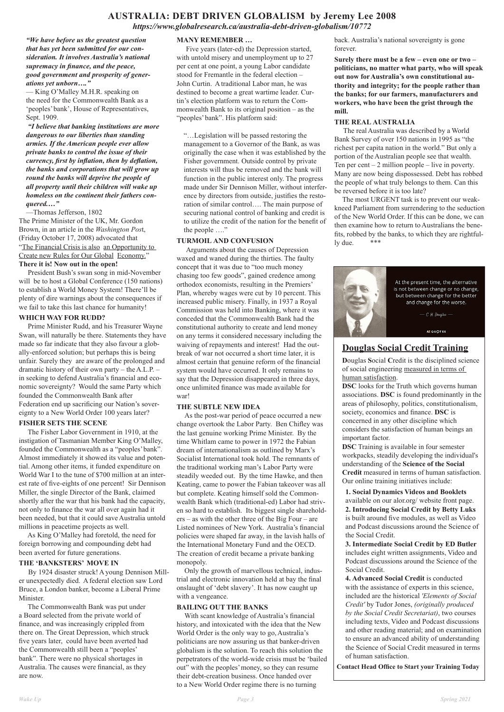# **AUSTRALIA: DEBT DRIVEN GLOBALISM by Jeremy Lee 2008**

*https://www.globalresearch.ca/australia-debt-driven-globalism/10772*

*"We have before us the greatest question that has yet been submitted for our consideration. It involves Australia's national supremacy in finance, and the peace, good government and prosperity of generations yet unborn…."*

— King O'Malley M.H.R. speaking on the need for the Commonwealth Bank as a 'peoples' bank', House of Representatives, Sept. 1909.

*"I believe that banking institutions are more dangerous to our liberties than standing armies. If the American people ever allow private banks to control the issue of their currency, first by inflation, then by deflation, the banks and corporations that will grow up round the banks will deprive the people of all property until their children will wake up homeless on the continent their fathers conquered.…"* 

—Thomas Jefferson, 1802

The Prime Minister of the UK, Mr. Gordon Brown, in an article in the *Washington Pos*t, (Friday October 17, 2008) advocated that "The Financial Crisis is also an Opportunity to Create new Rules for Our Global Economy." **There it is! Now out in the open!**

President Bush's swan song in mid-November will be to host a Global Conference (150 nations) to establish a World Money System! There'll be plenty of dire warnings about the consequences if we fail to take this last chance for humanity!

## **WHICH WAY FOR RUDD?**

 Prime Minister Rudd, and his Treasurer Wayne Swan, will naturally be there. Statements they have made so far indicate that they also favour a globally-enforced solution; but perhaps this is being unfair. Surely they are aware of the prolonged and dramatic history of their own party – the A.L.P. – in seeking to defend Australia's financial and economic sovereignty? Would the same Party which founded the Commonwealth Bank after Federation end up sacrificing our Nation's sovereignty to a New World Order 100 years later?

## **FISHER SETS THE SCENE**

 The Fisher Labor Government in 1910, at the instigation of Tasmanian Member King O'Malley, founded the Commonwealth as a "peoples' bank". Almost immediately it showed its value and potential. Among other items, it funded expenditure on World War I to the tune of \$700 million at an interest rate of five-eights of one percent! Sir Dennison Miller, the single Director of the Bank, claimed shortly after the war that his bank had the capacity, not only to finance the war all over again had it been needed, but that it could save Australia untold millions in peacetime projects as well.

As King O'Malley had foretold, the need for

foreign borrowing and compounding debt had been averted for future generations.

## **THE 'BANKSTERS' MOVE IN**

 By 1924 disaster struck! A young Dennison Miller unexpectedly died. A federal election saw Lord Bruce, a London banker, become a Liberal Prime Minister.

 The Commonwealth Bank was put under a Board selected from the private world of finance, and was increasingly crippled from there on. The Great Depression, which struck five years later, could have been averted had the Commonwealth still been a "peoples' bank". There were no physical shortages in Australia. The causes were financial, as they are now.

## **MANY REMEMBER …**

 Five years (later-ed) the Depression started, with untold misery and unemployment up to 27 per cent at one point, a young Labor candidate stood for Fremantle in the federal election – John Curtin. A traditional Labor man, he was destined to become a great wartime leader. Curtin's election platform was to return the Commonwealth Bank to its original position – as the "peoples' bank". His platform said:

"…Legislation will be passed restoring the management to a Governor of the Bank, as was originally the case when it was established by the Fisher government. Outside control by private interests will thus be removed and the bank will function in the public interest only. The progress made under Sir Dennison Miller, without interference by directors from outside, justifies the restoration of similar control…. The main purpose of securing national control of banking and credit is to utilize the credit of the nation for the benefit of the people …."

## **TURMOIL AND CONFUSION**

 Arguments about the causes of Depression waxed and waned during the thirties. The faulty concept that it was due to "too much money chasing too few goods", gained credence among orthodox economists, resulting in the Premiers' Plan, whereby wages were cut by 10 percent. This increased public misery. Finally, in 1937 a Royal Commission was held into Banking, where it was conceded that the Commonwealth Bank had the constitutional authority to create and lend money on any terms it considered necessary including the waiving of repayments and interest! Had the outbreak of war not occurred a short time later, it is almost certain that genuine reform of the financial system would have occurred. It only remains to say that the Depression disappeared in three days, once unlimited finance was made available for war!

## **THE SUBTLE NEW IDEA**

 As the post-war period of peace occurred a new change overtook the Labor Party. Ben Chifley was the last genuine working Prime Minister. By the time Whitlam came to power in 1972 the Fabian dream of internationalism as outlined by Marx's Socialist International took hold. The remnants of the traditional working man's Labor Party were steadily weeded out. By the time Hawke, and then Keating, came to power the Fabian takeover was all but complete. Keating himself sold the Commonwealth Bank which (traditional-ed) Labor had striven so hard to establish. Its biggest single shareholders – as with the other three of the Big Four – are Listed nominees of New York. Australia's financial policies were shaped far away, in the lavish halls of the International Monetary Fund and the OECD. The creation of credit became a private banking monopoly.

 Only the growth of marvellous technical, industrial and electronic innovation held at bay the final onslaught of 'debt slavery'. It has now caught up with a vengeance.

## **BAILING OUT THE BANKS**

 With scant knowledge of Australia's financial history, and intoxicated with the idea that the New World Order is the only way to go, Australia's politicians are now assuring us that banker-driven globalism is the solution. To reach this solution the perpetrators of the world-wide crisis must be 'bailed out" with the peoples' money, so they can resume their debt-creation business. Once handed over to a New World Order regime there is no turning

back. Australia's national sovereignty is gone forever.

**Surely there must be a few – even one or two – politicians, no matter what party, who will speak out now for Australia's own constitutional authority and integrity; for the people rather than the banks; for our farmers, manufacturers and workers, who have been the grist through the mill.**

## **THE REAL AUSTRALIA**

 The real Australia was described by a World Bank Survey of over 150 nations in 1995 as "the richest per capita nation in the world." But only a portion of the Australian people see that wealth. Ten per cent  $-2$  million people  $-$  live in poverty. Many are now being dispossessed. Debt has robbed the people of what truly belongs to them. Can this be reversed before it is too late?

 The most URGENT task is to prevent our weakkneed Parliament from surrendering to the seduction of the New World Order. If this can be done, we can then examine how to return to Australians the benefits, robbed by the banks, to which they are rightfully due. \*\*\*



# **Douglas Social Credit Training**

**D**ouglas **S**ocial **C**redit is the disciplined science of social engineering measured in terms of human satisfaction.

**DSC** looks for the Truth which governs human associations. **DSC** is found predominantly in the areas of philosophy, politics, constitutionalism, society, economics and finance. **DSC** is concerned in any other discipline which considers the satisfaction of human beings an important factor.

**DSC** Training is available in four semester workpacks, steadily developing the individual's understanding of the **Science of the Social Credit** measured in terms of human satisfaction. Our online training initiatives include:

**1. Social Dynamics Videos and Booklets**  available on our alor.org/ website front page. **2. Introducing Social Credit by Betty Luks**  is built around five modules, as well as Video and Podcast discussions around the Science of the Social Credit.

**3. Intermediate Social Credit by ED Butler**  includes eight written assignments, Video and Podcast discussions around the Science of the Social Credit.

**4. Advanced Social Credit** is conducted with the assistance of experts in this science, included are the historical *'Elements of Social Credit'* by Tudor Jones, *(originally produced by the Social Credit Secretariat)*, two courses including texts, Video and Podcast discussions and other reading material; and on examination to ensure an advanced ability of understanding the Science of Social Credit measured in terms of human satisfaction.

**Contact Head Office to Start your Training Today**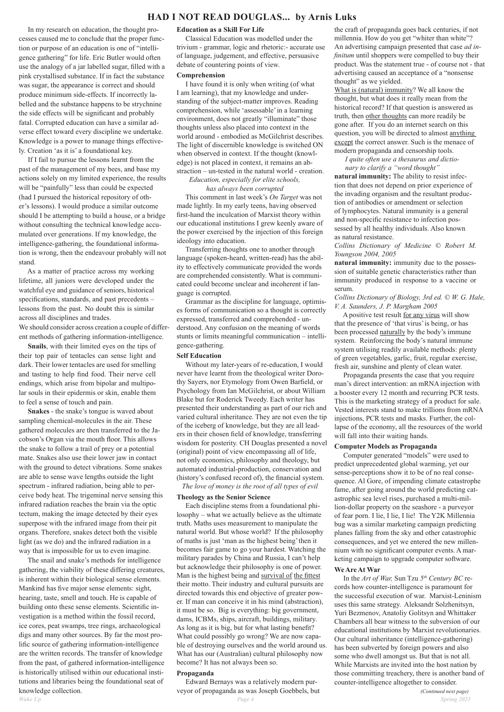In my research on education, the thought processes caused me to conclude that the proper function or purpose of an education is one of "intelligence gathering" for life. Eric Butler would often use the analogy of a jar labelled sugar, filled with a pink crystallised substance. If in fact the substance was sugar, the appearance is correct and should produce minimum side-effects. If incorrectly labelled and the substance happens to be strychnine the side effects will be significant and probably fatal. Corrupted education can have a similar adverse effect toward every discipline we undertake. Knowledge is a power to manage things effectively. Creation 'as it is' a foundational key.

 If I fail to pursue the lessons learnt from the past of the management of my bees, and base my actions solely on my limited experience, the results will be "painfully" less than could be expected (had I pursued the historical repository of other's lessons). I would produce a similar outcome should I be attempting to build a house, or a bridge without consulting the technical knowledge accumulated over generations. If my knowledge, the intelligence-gathering, the foundational information is wrong, then the endeavour probably will not stand.

As a matter of practice across my working lifetime, all juniors were developed under the watchful eye and guidance of seniors, historical specifications, standards, and past precedents – lessons from the past. No doubt this is similar across all disciplines and trades.

We should consider across creation a couple of different methods of gathering information-intelligence.

**Snails**, with their limited eyes on the tips of their top pair of tentacles can sense light and dark. Their lower tentacles are used for smelling and tasting to help find food. Their nerve cell endings, which arise from bipolar and multipolar souls in their epidermis or skin, enable them to feel a sense of touch and pain.

**Snakes** - the snake's tongue is waved about sampling chemical-molecules in the air. These gathered molecules are then transferred to the Jacobson's Organ via the mouth floor. This allows the snake to follow a trail of prey or a potential mate. Snakes also use their lower jaw in contact with the ground to detect vibrations. Some snakes are able to sense wave lengths outside the light spectrum - infrared radiation, being able to perceive body heat. The trigeminal nerve sensing this infrared radiation reaches the brain via the optic tectum, making the image detected by their eyes superpose with the infrared image from their pit organs. Therefore, snakes detect both the visible

light (as we do) and the infrared radiation in a way that is impossible for us to even imagine.

The snail and snake's methods for intelligence gathering, the viability of these differing creatures, is inherent within their biological sense elements. Mankind has five major sense elements: sight, hearing, taste, smell and touch. He is capable of building onto these sense elements. Scientific investigation is a method within the fossil record, ice cores, peat swamps, tree rings, archaeological digs and many other sources. By far the most prolific source of gathering information-intelligence are the written records. The transfer of knowledge from the past, of gathered information-intelligence is historically utilised within our educational institutions and libraries being the foundational seat of knowledge collection.

#### **Education as a Skill For Life**

 Classical Education was modelled under the trivium - grammar, logic and rhetoric:- accurate use of language, judgement, and effective, persuasive debate of countering points of view.

#### **Comprehension**

I have found it is only when writing (of what I am learning), that my knowledge and understanding of the subject-matter improves. Reading comprehension, while 'assessable' in a learning environment, does not greatly "illuminate" those thoughts unless also placed into context in the world around - embodied as McGilchrist describes. The light of discernible knowledge is switched ON when observed in context. If the thought (knowledge) is not placed in context, it remains an abstraction – un-tested in the natural world - creation.

## *Education, especially for elite schools, has always been corrupted*

This comment in last week's *On Target* was not made lightly. In my early teens, having observed first-hand the inculcation of Marxist theory within our educational institutions I grew keenly aware of the power exercised by the injection of this foreign ideology into education.

 Transferring thoughts one to another through language (spoken-heard, written-read) has the ability to effectively communicate provided the words are comprehended consistently. What is communicated could become unclear and incoherent if language is corrupted.

 Grammar as the discipline for language, optimises forms of communication so a thought is correctly expressed, transferred and comprehended - understood. Any confusion on the meaning of words stunts or limits meaningful communication – intelligence-gathering.

#### **Self Education**

Without my later-years of re-education, I would never have learnt from the theological writer Dorothy Sayers, nor Etymology from Owen Barfield, or Psychology from Ian McGilchrist, or about William Blake but for Roderick Tweedy. Each writer has presented their understanding as part of our rich and varied cultural inheritance. They are not even the tip of the iceberg of knowledge, but they are all leaders in their chosen field of knowledge, transferring wisdom for posterity. CH Douglas presented a novel (original) point of view encompassing all of life, not only economics, philosophy and theology, but automated industrial-production, conservation and (history's confused record of), the financial system.

*The love of money is the root of all types of evil*

### **Theology as the Senior Science**

 Each discipline stems from a foundational philosophy – what we actually believe as the ultimate truth. Maths uses measurement to manipulate the natural world. But whose world? If the philosophy of maths is just 'man as the highest being' then it becomes fair game to go your hardest. Watching the military parades by China and Russia, I can't help but acknowledge their philosophy is one of power. Man is the highest being and survival of the fittest their motto. Their industry and cultural pursuits are directed towards this end objective of greater power. If man can conceive it in his mind (abstraction), it must be so. Big is everything: big government, dams, ICBMs, ships, aircraft, buildings, military. As long as it is big, but for what lasting benefit? What could possibly go wrong? We are now capable of destroying ourselves and the world around us. What has our (Australian) cultural philosophy now become? It has not always been so.

## **Propaganda**

Edward Bernays was a relatively modern purveyor of propaganda as was Joseph Goebbels, but

the craft of propaganda goes back centuries, if not millennia. How do you get "whiter than white"? An advertising campaign presented that case *ad infinitum* until shoppers were compelled to buy their product. Was the statement true - of course not - that advertising caused an acceptance of a "nonsense thought" as we yielded.

What is (natural) immunity? We all know the thought, but what does it really mean from the historical record? If that question is answered as truth, then other thoughts can more readily be gone after. If you do an internet search on this question, you will be directed to almost anything except the correct answer. Such is the menace of modern propaganda and censorship tools.

## *I quite often use a thesaurus and dictionary to clarify a "word thought"*

**natural immunity:** The ability to resist infection that does not depend on prior experience of the invading organism and the resultant production of antibodies or amendment or selection of lymphocytes. Natural immunity is a general and non-specific resistance to infection possessed by all healthy individuals. Also known as natural resistance.

*Collins Dictionary of Medicine © Robert M. Youngson 2004, 2005*

**natural immunity:** immunity due to the possession of suitable genetic characteristics rather than immunity produced in response to a vaccine or serum.

#### *Collins Dictionary of Biology, 3rd ed. © W. G. Hale, V. A. Saunders, J. P. Margham 2005*

A positive test result for any virus will show that the presence of 'that virus' is being, or has been processed naturally by the body's immune system. Reinforcing the body's natural immune system utilising readily available methods: plenty of green vegetables, garlic, fruit, regular exercise, fresh air, sunshine and plenty of clean water.

Propaganda presents the case that you require man's direct intervention: an mRNA injection with a booster every 12 month and recurring PCR tests. This is the marketing strategy of a product for sale. Vested interests stand to make trillions from mRNA injections, PCR tests and masks. Further, the collapse of the economy, all the resources of the world will fall into their waiting hands.

#### **Computer Models as Propaganda**

Computer generated "models" were used to predict unprecedented global warming, yet our sense-perceptions show it to be of no real consequence. Al Gore, of impending climate catastrophe fame, after going around the world predicting catastrophic sea level rises, purchased a multi-million-dollar property on the seashore - a purveyor of fear porn. I lie, I lie, I lie! The Y2K Millennia bug was a similar marketing campaign predicting planes falling from the sky and other catastrophic

consequences, and yet we entered the new millennium with no significant computer events. A marketing campaign to upgrade computer software.

## **We Are At War**

In the *Art of War,* Sun Tzu *5th Century BC* records how counter-intelligence is paramount for the successful execution of war. Marxist-Leninism uses this same strategy. Aleksandr Solzhenitsyn, Yuri Bezmenov, Anatoliy Golitsyn and Whittaker Chambers all bear witness to the subversion of our educational institutions by Marxist revolutionaries. Our cultural inheritance (intelligence-gathering) has been subverted by foreign powers and also some who dwell amongst us. But that is not all. While Marxists are invited into the host nation by those committing treachery, there is another band of counter-intelligence altogether to consider.

*(Continued next page)*

# **HAD I NOT READ DOUGLAS... by Arnis Luks**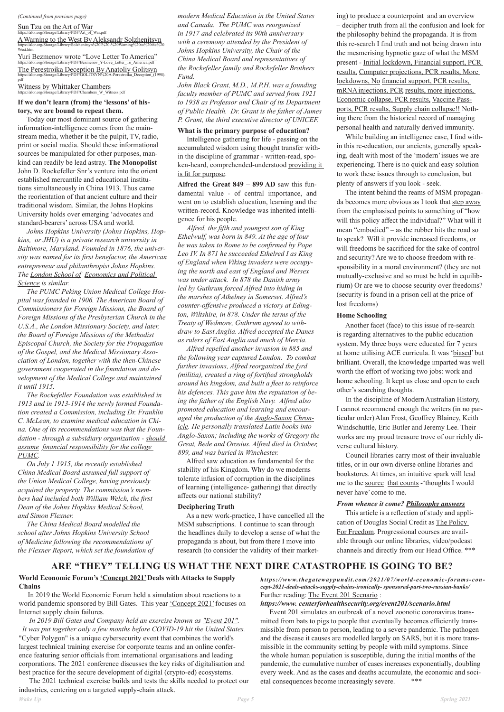#### *(Continued from previous page)*

Sun Tzu on theArt of War https://alor.org/Storage/Library/PDF/Art\_of\_War.pdf

Witness by Whittaker Chambers  $\overline{a}$  itness pdf

AWarning to the West ByAleksandr Solzhenitsyn https://alor.org/Storage/Library/Solzhenitsyn%20I%20-%20Warning%20to%20 West.htm Yuri Bezmenov wrote "Love Letter ToAmerica" https://alor.org/Storage/Library/PDF/Bezmenov\_Y-Love\_Letter\_To\_America.pdf

The Perestroika Deception ByAnatoliy Golitsyn https://alor.org/Storage/Library/PDF/GOLITSYN%20A-Perestroika\_Deception\_(1998). pdf

#### **If we don't learn (from) the 'lessons' of history, we are bound to repeat them.**

Today our most dominant source of gathering information-intelligence comes from the mainstream media, whether it be the pulpit, TV, radio, print or social media. Should these informational sources be manipulated for other purposes, mankind can readily be lead astray. **The Monopolist**  John D. Rockefeller Snr's venture into the orient established mercantile and educational institutions simultaneously in China 1913. Thus came the reorientation of that ancient culture and their traditional wisdom. Similar, the Johns Hopkins University holds over emerging 'advocates and standard-bearers' across USA and world.

 *Johns Hopkins University (Johns Hopkins, Hopkins, or JHU) is a private research university in Baltimore, Maryland. Founded in 1876, the university was named for its first benefactor, the American entrepreneur and philanthropist Johns Hopkins. The London School of Economics and Political Science is similar.*

Intelligence gathering for life - passing on the accumulated wisdom using thought transfer within the discipline of grammar - written-read, spoken-heard, comprehended-understood providing it is fit for purpose.

 *The PUMC Peking Union Medical College Hospital was founded in 1906. The American Board of Commissioners for Foreign Missions, the Board of Foreign Missions of the Presbyterian Church in the U.S.A., the London Missionary Society, and later, the Board of Foreign Missions of the Methodist Episcopal Church, the Society for the Propagation of the Gospel, and the Medical Missionary Association of London, together with the then-Chinese government cooperated in the foundation and development of the Medical College and maintained it until 1915.*

 *The Rockefeller Foundation was established in 1913 and in 1913-1914 the newly formed Foundation created a Commission, including Dr. Franklin C. McLean, to examine medical education in China. One of its recommendations was that the Foundation - through a subsidiary organization - should assume financial responsibility for the college PUMC.*

 *On July 1 1915, the recently established China Medical Board assumed full support of the Union Medical College, having previously acquired the property. The commission's members had included both William Welch, the first Dean of the Johns Hopkins Medical School, and Simon Flexner.*

 *The China Medical Board modelled the school after Johns Hopkins University School* 

*of Medicine following the recommendations of the Flexner Report, which set the foundation of*  *modern Medical Education in the United States and Canada. The PUMC was reorganized in 1917 and celebrated its 90th anniversary with a ceremony attended by the President of Johns Hopkins University, the Chair of the China Medical Board and representatives of the Rockefeller family and Rockefeller Brothers Fund.*

*John Black Grant, M.D., M.P.H. was a founding faculty member of PUMC and served from 1921 to 1938 as Professor and Chair of its Department of Public Health. Dr. Grant is the father of James P. Grant, the third executive director of UNICEF.*

#### **What is the primary purpose of education?**

**Alfred the Great 849 – 899 AD** saw this fundamental value - of central importance, and went on to establish education, learning and the written-record. Knowledge was inherited intelligence for his people.

 *Alfred, the fifth and youngest son of King Ethelwulf, was born in 849. At the age of four he was taken to Rome to be confirmed by Pope Leo IV. In 871 he succeeded Ethelred I as King of England when Viking invaders were occupying the north and east of England and Wessex was under attack. In 878 the Danish army led by Guthrum forced Alfred into hiding in the marshes of Athelney in Somerset. Alfred's counter-offensive produced a victory at Edington, Wiltshire, in 878. Under the terms of the Treaty of Wedmore, Guthrum agreed to withdraw to East Anglia. Alfred accepted the Danes as rulers of East Anglia and much of Mercia.*

> *https://www.thegatewaypundit.com/2021/07/world-economic-forums-concept-2021-deals-attacks-supply-chains-ironically- sponsored-part-two-russian-banks/* Further reading: The Event 201 Scenario :

 *Alfred repelled another invasion in 885 and the following year captured London. To combat further invasions, Alfred reorganized the fyrd (militia), created a ring of fortified strongholds around his kingdom, and built a fleet to reinforce his defences. This gave him the reputation of being the father of the English Navy. Alfred also promoted education and learning and encouraged the production of the Anglo-Saxon Chronicle. He personally translated Latin books into Anglo-Saxon; including the works of Gregory the Great, Bede and Orosius. Alfred died in October, 899, and was buried in Winchester.*

Alfred saw education as fundamental for the stability of his Kingdom. Why do we moderns tolerate infusion of corruption in the disciplines of learning (intelligence- gathering) that directly affects our national stability?

#### **Deciphering Truth**

As a new work-practice, I have cancelled all the MSM subscriptions. I continue to scan through the headlines daily to develop a sense of what the

propaganda is about, but from there I move into research (to consider the validity of their marketing) to produce a counterpoint and an overview – decipher truth from all the confusion and look for the philosophy behind the propaganda. It is from this re-search I find truth and not being drawn into the mesmerising hypnotic gaze of what the MSM present - Initial lockdown, Financial support, PCR results, Computer projections, PCR results, More lockdowns, No financial support, PCR results, mRNA injections, PCR results, more injections, Economic collapse, PCR results, Vaccine Passports, PCR results, Supply chain collapse!! Nothing there from the historical record of managing personal health and naturally derived immunity.

While building an intelligence case, I find within this re-education, our ancients, generally speaking, dealt with most of the 'modern' issues we are experiencing. There is no quick and easy solution to work these issues through to conclusion, but plenty of answers if you look - seek.

The intent behind the reams of MSM propaganda becomes more obvious as I took that step away from the emphasised points to something of "how will this policy affect the individual?" What will it mean "embodied" – as the rubber hits the road so to speak? Will it provide increased freedoms, or will freedoms be sacrificed for the sake of control and security? Are we to choose freedom with responsibility in a moral environment? (they are not mutually-exclusive and so must be held in equilibrium) Or are we to choose security over freedoms? (security is found in a prison cell at the price of lost freedoms)

#### **Home Schooling**

Another facet (face) to this issue of re-search is regarding alternatives to the public education system. My three boys were educated for 7 years at home utilising ACE curricula. It was 'biased' but brilliant. Overall, the knowledge imparted was well worth the effort of working two jobs: work and home schooling. It kept us close and open to each other's searching thoughts.

 In the discipline of Modern Australian History, I cannot recommend enough the writers (in no particular order) Alan Frost, Geoffrey Blainey, Keith Windschuttle, Eric Butler and Jeremy Lee. Their works are my proud treasure trove of our richly diverse cultural history.

Council libraries carry most of their invaluable titles, or in our own diverse online libraries and bookstores. At times, an intuitive spark will lead me to the source that counts - 'thoughts I would never have' come to me.

### *From whence it come? Philosophy answers*

This article is a reflection of study and application of Douglas Social Credit as The Policy For Freedom. Progressional courses are avail-

able through our online libraries, video/podcast channels and directly from our Head Office. \*\*\*

# **ARE "THEY" TELLING US WHAT THE NEXT DIRE CATASTROPHE IS GOING TO BE?**

## **World Economic Forum's 'Concept 2021' Deals with Attacks to Supply Chains**

In 2019 the World Economic Forum held a simulation about reactions to a world pandemic sponsored by Bill Gates. This year 'Concept 2021' focuses on Internet supply chain failures.

*In 2019 Bill Gates and Company held an exercise known as "Event 201". It was put together only a few months before COVID-19 hit the United States.* "Cyber Polygon" is a unique cybersecurity event that combines the world's largest technical training exercise for corporate teams and an online conference featuring senior officials from international organisations and leading corporations. The 2021 conference discusses the key risks of digitalisation and best practice for the secure development of digital (crypto-ed) ecosystems.

 The 2021 technical exercise builds and tests the skills needed to protect our industries, centering on a targeted supply-chain attack.

## *https://www. centerforhealthsecurity.org/event201/scenario.html*

Event 201 simulates an outbreak of a novel zoonotic coronavirus transmitted from bats to pigs to people that eventually becomes efficiently transmissible from person to person, leading to a severe pandemic. The pathogen and the disease it causes are modelled largely on SARS, but it is more transmissible in the community setting by people with mild symptoms. Since the whole human population is susceptible, during the initial months of the pandemic, the cumulative number of cases increases exponentially, doubling every week. And as the cases and deaths accumulate, the economic and societal consequences become increasingly severe. \*\*\*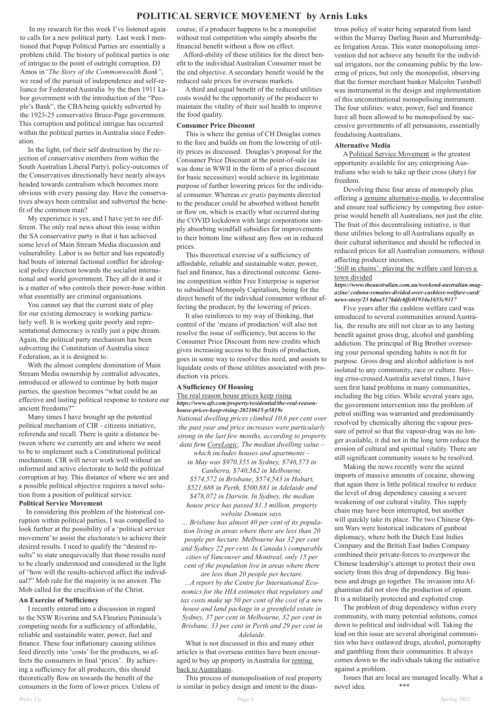## **POLITICAL SERVICE MOVEMENT by Arnis Luks**

 In my research for this week I've listened again to calls for a new political party. Last week I mentioned that Popup Political Parties are essentially a problem child. The history of political parties is one of intrigue to the point of outright corruption. DJ Amos in*"The Story of the Commonwealth Bank"*, we read of the pursuit of independence and self-reliance for Federated Australia by the then 1911 Labor government with the introduction of the "People's Bank", the CBA being quickly subverted by the 1923-25 conservative Bruce-Page government. This corruption and political intrigue has occurred within the political parties in Australia since Federation.

In the light, (of their self destruction by the rejection of conservative members from within the South Australian Liberal Party), policy-outcomes of the Conservatives directionally have nearly always headed towards centralism which becomes more obvious with every passing day. Have the conservatives always been centralist and subverted the benefit of the common man?

 My experience is yes, and I have yet to see different. The only real news about this issue within the SA conservative party is that it has achieved some level of Main Stream Media discussion and vulnerability. Labor is no better and has repeatedly had bouts of internal factional conflict for ideological policy direction towards the socialist international and world government. They all do it and it is a matter of who controls their power-base within what essentially are criminal organisations.

You cannot say that the current state of play for our existing democracy is working particularly well. It is working quite poorly and representational democracy is really just a pipe dream. Again, the political party mechanism has been subverting the Constitution of Australia since Federation, as it is designed to.

With the almost complete domination of Main Stream Media ownership by centralist advocates, introduced or allowed to continue by both major parties, the question becomes "what could be an effective and lasting political response to restore our ancient freedoms?"

Many times I have brought up the potential political mechanism of CIR - citizens initiative, referenda and recall. There is quite a distance between where we currently are and where we need to be to implement such a Constitutional political mechanism. CIR will never work well without an informed and active electorate to hold the political corruption at bay. This distance of where we are and a possible political objective requires a novel solution from a position of political service. **Political Service Movement**

# In considering this problem of the historical corruption within political parties, I was compelled to look further at the possibility of a 'political service

movement' to assist the electorate/s to achieve their desired results. I need to qualify the "desired results" to state unequivocally that those results need to be clearly understood and considered in the light of "how will the results-achieved affect the individual?" Mob rule for the majority is no answer. The Mob called for the crucifixion of the Christ.

*… Brisbane has almost 40 per cent of its population living in areas where there are less than 20 people per hectare. Melbourne has 32 per cent and Sydney 22 per cent. In Canada's comparable cities of Vancouver and Montreal, only 15 per cent of the population live in areas where there are less than 20 people per hectare. ...A report by the Centre for International Economics for the HIA estimates that regulatory and tax costs make up 50 per cent of the cost of a new house and land package in a greenfield estate in Sydney, 37 per cent in Melbourne, 32 per cent in Brisbane, 33 per cent in Perth and 29 per cent in Adelaide.* What is not discussed in this and many other articles is that overseas entities have been encouraged to buy up property in Australia for renting back to Australians.

## **An Exercise of Sufficiency**

I recently entered into a discussion in regard to the NSW Riverina and SA Fleurieu Peninsula's competing needs for a sufficiency of affordable, reliable and sustainable water, power, fuel and finance. These four inflationary causing utilities feed directly into 'costs' for the producers, so affects the consumers in final 'prices'. By achieving a sufficiency for all producers, this should theoretically flow on towards the benefit of the consumers in the form of lower prices. Unless of

course, if a producer happens to be a monopolist without real competition who simply absorbs the financial benefit without a flow on effect.

 Afford-ability of these utilities for the direct benefit to the individual Australian Consumer must be the end objective. A secondary benefit would be the reduced sale prices for overseas markets.

 A third and equal benefit of the reduced utilities costs would be the opportunity of the producer to maintain the vitality of their soil health to improve the food quality.

#### **Consumer Price Discount**

This is where the genius of CH Douglas comes to the fore and builds on from the lowering of utility prices as discussed. Douglas's proposal for the Consumer Price Discount at the point-of-sale (as was done in WWII in the form of a price discount for basic necessities) would achieve its legitimate purpose of further lowering prices for the individual consumer. Whereas *ex gratis* payments directed to the producer could be absorbed without benefit or flow on, which is exactly what occurred during the COVID lockdown with large corporations simply absorbing windfall subsidies for improvements to their bottom line without any flow on in reduced prices.

This theoretical exercise of a sufficiency of affordable, reliable and sustainable water, power, fuel and finance, has a directional outcome. Genuine competition within Free Enterprise is superior to subsidised Monopoly Capitalism, being for the direct benefit of the individual consumer without affecting the producer, by the lowering of prices.

> Issues that are local are managed locally. What a novel idea. \*\*\*

It also reinforces to my way of thinking, that control of the 'means of production' will also not resolve the issue of sufficiency, but access to the Consumer Price Discount from new credits which gives increasing access to the fruits of production, goes in some way to resolve this need, and assists to liquidate costs of those utilities associated with production via prices.

#### **A Sufficiency Of Housing**

#### The real reason house prices keep rising *https://www.afr.com/property/residential/the-real-reasonhouse-prices-keep-rising-20210615-p5819s*

*National dwelling prices climbed 10.6 per cent over the past year and price increases were particularly strong in the last few months, according to property data firm CoreLogic. The median dwelling value –* 

*which includes houses and apartments –* 

*in May was \$970,355 in Sydney, \$746,573 in Canberra, \$740,562 in Melbourne,*

*\$574,572 in Brisbane, \$574,543 in Hobart, \$521,688 in Perth, \$500,881 in Adelaide and \$478,072 in Darwin. In Sydney, the median house price has passed \$1.3 million, property website Domain says.*

 This process of monopolisation of real property is similar in policy design and intent to the disastrous policy of water being separated from land within the Murray Darling Basin and Murrumbidgee Irrigation Areas. This water monopolising intervention did not achieve any benefit for the individual irrigators, nor the consuming public by the lowering of prices, but only the monopolist, observing that the former merchant banker Malcolm Turnbull was instrumental in the design and implementation of this unconstitutional monopolising instrument. The four utilities: water, power, fuel and finance have all been allowed to be monopolised by successive governments of all persuasions, essentially feudalising Australians.

#### **Alternative Media**

A Political Service Movement is the greatest opportunity available for any enterprising Australians who wish to take up their cross (duty) for freedom.

 Devolving these four areas of monopoly plus offering a genuine alternative-media, to decentralise and ensure real sufficiency by competing free enterprise would benefit all Australians, not just the elite. The fruit of this decentralising initiative, is that these utilities belong to all Australians equally as their cultural inheritance and should be reflected in reduced prices for all Australian consumers, without affecting producer incomes.

'Still in chains': playing the welfare card leaves a town divided

*https://www.theaustralian.com.au/weekend-australian-magazine/ ceduna-remains-divided-over-cashless-welfare-card/ news-story/23 bdaa5176ddc6ffc01934a1655c9317*

Five years after the cashless welfare card was introduced to several communities around Australia, the results are still not clear as to any lasting benefit against gross drug, alcohol and gambling addiction. The principal of Big Brother overseeing your personal spending habits is not fit for purpose. Gross drug and alcohol addiction is not isolated to any community, race or culture. Having criss-crossed Australia several times, I have seen first hand problems in many communities, including the big cities. While several years ago, the government intervention into the problem of petrol sniffing was warranted and predominantly resolved by chemically altering the vapour pressure of petrol so that the vapour-drug was no longer available, it did not in the long term reduce the erosion of cultural and spiritual vitality. There are still significant community issues to be resolved.

Making the news recently were the seized imports of massive amounts of cocaine, showing that again there is little political resolve to reduce the level of drug dependency causing a severe weakening of our cultural vitality. This supply chain may have been interrupted, but another will quickly take its place. The two Chinese Opium Wars were historical indicators of gunboat diplomacy, where both the Dutch East Indies Company and the British East Indies Company combined their private-forces to overpower the Chinese leadership's attempt to protect their own society from this drug of dependency. Big business and drugs go together. The invasion into Afghanistan did not slow the production of opium. It is a militarily protected and exploited crop. The problem of drug dependency within every community, with many potential solutions, comes down to political and individual will. Taking the lead on this issue are several aboriginal communities who have outlawed drugs, alcohol, pornoraphy and gambling from their communities. It always comes down to the individuals taking the initiative against a problem.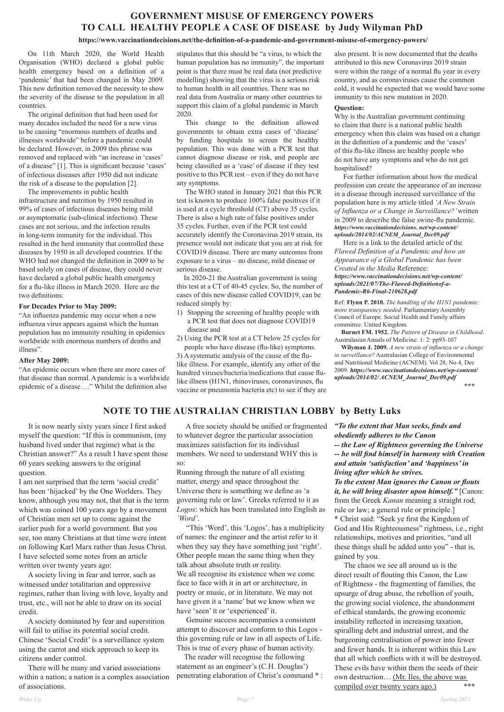# **GOVERNMENT MISUSE OF EMERGENCY POWERS TO CALL HEALTHY PEOPLE A CASE OF DISEASE by Judy Wilyman PhD**

#### **https://www.vaccinationdecisions.net/the-definition-of-a-pandemic-and-government-misuse-of-emergency-powers/**

On 11th March 2020, the World Health Organisation (WHO) declared a global public health emergency based on a definition of a 'pandemic' that had been changed in May 2009. This new definition removed the necessity to show the severity of the disease to the population in all countries.

The original definition that had been used for many decades included the need for a new virus to be causing "enormous numbers of deaths and illnesses worldwide" before a pandemic could be declared. However, in 2009 this phrase was removed and replaced with "an increase in 'cases' of a disease" [1]. This is significant because 'cases' of infectious diseases after 1950 did not indicate the risk of a disease to the population [2].

The improvements in public health infrastructure and nutrition by 1950 resulted in 99% of cases of infectious diseases being mild or asymptomatic (sub-clinical infections). These cases are not serious, and the infection results in long-term immunity for the individual. This resulted in the herd immunity that controlled these diseases by 1950 in all developed countries. If the WHO had not changed the definition in 2009 to be based solely on cases of disease, they could never have declared a global public health emergency for a flu-like illness in March 2020. Here are the two definitions:

#### **For Decades Prior to May 2009:**

"An influenza pandemic may occur when a new influenza virus appears against which the human population has no immunity resulting in epidemics worldwide with enormous numbers of deaths and illness".

#### **After May 2009:**

"An epidemic occurs when there are more cases of that disease than normal. A pandemic is a worldwide epidemic of a disease…." Whilst the definition also

stipulates that this should be "a virus, to which the human population has no immunity", the important point is that there must be real data (not predictive modelling) showing that the virus is a serious risk to human health in all countries. There was no real data from Australia or many other countries to support this claim of a global pandemic in March 2020.

This change to the definition allowed governments to obtain extra cases of 'disease' by funding hospitals to screen the healthy population. This was done with a PCR test that cannot diagnose disease or risk, and people are being classified as a 'case' of disease if they test positive to this PCR test – even if they do not have any symptoms.

The WHO stated in January 2021 that this PCR test is known to produce 100% false positives if it is used at a cycle threshold (CT) above 35 cycles. There is also a high rate of false positives under 35 cycles. Further, even if the PCR test could accurately identify the Coronavirus 2019 strain, its presence would not indicate that you are at risk for COVID19 disease. There are many outcomes from exposure to a virus – no disease, mild disease or serious disease.

In 2020-21 the Australian government is using this test at a CT of 40-45 cycles. So, the number of cases of this new disease called COVID19, can be reduced simply by:

- 1) Stopping the screening of healthy people with a PCR test that does not diagnose COVID19 disease and
- 2) Using the PCR test at a CT below 25 cycles for people who have disease (flu-like) symptoms.

3) A systematic analysis of the cause of the flulike illness. For example, identify any other of the hundred viruses/bacteria/medications that cause flulike illness (H1N1, rhinoviruses, coronaviruses, flu vaccine or pneumonia bacteria etc) to see if they are also present. It is now documented that the deaths attributed to this new Coronavirus 2019 strain were within the range of a normal flu year in every country, and as coronaviruses cause the common cold, it would be expected that we would have some immunity to this new mutation in 2020.

#### **Question:**

Why is the Australian government continuing to claim that there is a national public health emergency when this claim was based on a change in the definition of a pandemic and the 'cases' of this flu-like illness are healthy people who do not have any symptoms and who do not get hospitalised?

\* Christ said: "Seek ye first the Kingdom of God and His Righteousness" rightness, i.e., right relationships, motives and priorities, "and all these things shall be added unto you" - that is, gained by you. The chaos we see all around us is the direct result of flouting this Canon, the Law of Rightness - the fragmenting of families, the upsurge of drug abuse, the rebellion of youth, the growing social violence, the abandonment of ethical standards, the growing economic instability reflected in increasing taxation, spiralling debt and industrial unrest, and the burgeoning centralisation of power into fewer and fewer hands. It is inherent within this Law that all which conflicts with it will be destroyed. These evils have within them the seeds of their own destruction... (Mr. Iles, the above was compiled over twenty years ago.) \*\*\*

For further information about how the medical profession can create the appearance of an increase in a disease through increased surveillance of the population here is my article titled *'A New Strain of Influenza or a Change in Surveillance?'* written in 2009 to describe the false swine-flu pandemic. *https://www.vaccinationdecisions. net/wp-content/ uploads/2014/02/ACNEM\_Journal\_Dec09.pdf*

Here is a link to the detailed article of the *Flawed Definition of a Pandemic and how an Appearance of a Global Pandemic has been Created in the Media* Reference:

*https://www.vaccinationdecisions.net/wp-content/ uploads/2021/07/The-Flawed-Definitionof-a-Pandemic-R6-Final-210628.pdf*

Ref: **Flynn P. 2010.** *The handling of the H1N1 pandemic: more transparency needed*. Parliamentary Assembly Council of Europe. Social Health and Family affairs committee. United Kingdom.

**Burnet FM. 1952.** *The Pattern of Disease in Childhood*. Australasian Annals of Medicine. 1: 2: pp93-107

**Wilyman J. 2009.** *A new strain of influenza or a change in surveillance?* Australasian College of Environmental and Nutritional Medicine (ACNEM). Vol 28, No 4, Dec 2009. *https://www.vaccinationdecisions.net/wp-content/ uploads/2014/02/ ACNEM\_Journal\_Dec09.pdf \*\*\**

**NOTE TO THE AUSTRALIAN CHRISTIAN LOBBY by Betty Luks**

 It is now nearly sixty years since I first asked myself the question: "If this is communism, (my husband lived under that regime) what is the Christian answer?" As a result I have spent those 60 years seeking answers to the original question.

I am not surprised that the term 'social credit' has been 'hijacked' by the One Worlders. They know, although you may not, that that is the term which was coined 100 years ago by a movement of Christian men set up to come against the earlier push for a world government. But you see, too many Christians at that time were intent on following Karl Marx rather than Jesus Christ. I have selected some notes from an article written over twenty years ago: A society living in fear and terror, such as witnessed under totalitarian and oppressive regimes, rather than living with love, loyalty and trust, etc., will not be able to draw on its social credit. A society dominated by fear and superstition will fail to utilise its potential social credit. Chinese 'Social Credit' is a surveillance system using the carrot and stick approach to keep its citizens under control. There will be many and varied associations within a nation; a nation is a complex association of associations.

 A free society should be unified or fragmented to whatever degree the particular association maximizes satisfaction for its individual members. We need to understand WHY this is so:

Running through the nature of all existing matter, energy and space throughout the Universe there is something we define as 'a governing rule or law'. Greeks referred to it as *Logos*: which has been translated into English as *'Word'*.

 "This 'Word', this 'Logos', has a multiplicity of names: the engineer and the artist refer to it when they say they have something just 'right'. Other people mean the same thing when they talk about absolute truth or reality. We all recognise its existence when we come face to face with it in art or architecture, in poetry or music, or in literature. We may not have given it a 'name' but we know when we have 'seen' it or 'experienced' it. Genuine success accompanies a consistent attempt to discover and conform to this Logos this governing rule or law in all aspects of Life. This is true of every phase of human activity. The reader will recognise the following statement as an engineer's (C.H. Douglas') penetrating elaboration of Christ's command \* :

*"To the extent that Man seeks, finds and obediently adheres to the Canon -- the Law of Rightness governing the Universe -- he will find himself in harmony with Creation and attain 'satisfaction' and 'happiness' in living after which he strives. To the extent Man ignores the Canon or flouts it, he will bring disaster upon himself."* [Canon: from the Greek *Kanan* meaning a straight rod; rule or law; a general rule or principle.]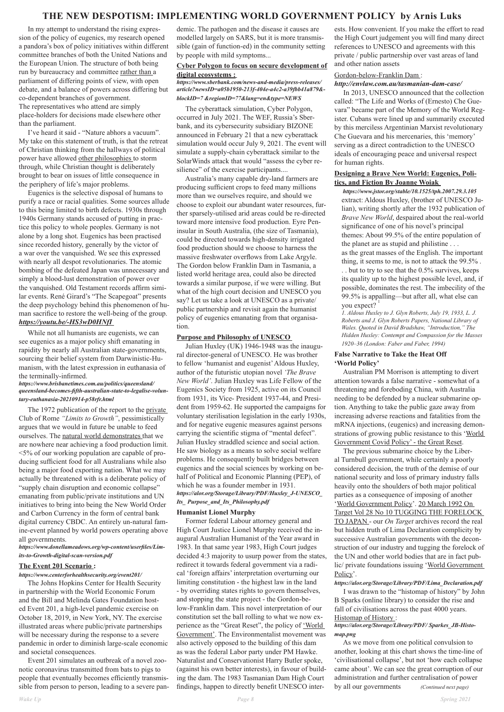## **THE NEW DESPOTISM: IMPLEMENTING WORLD GOVERNMENT POLICY by Arnis Luks**

 In my attempt to understand the rising expression of the policy of eugenics, my research opened a pandora's box of policy initiatives within different committee branches of both the United Nations and the European Union. The structure of both being run by bureaucracy and committee rather than a parliament of differing points of view, with open debate, and a balance of powers across differing but co-dependent branches of government. The representatives who attend are simply place-holders for decisions made elsewhere other than the parliament.

 I've heard it said - "Nature abhors a vacuum". My take on this statement of truth, is that the retreat of Christian thinking from the hallways of political power have allowed other philosophies to storm through, while Christian thought is deliberately brought to bear on issues of little consequence in the periphery of life's major problems.

 Eugenics is the selective disposal of humans to purify a race or racial qualities. Some sources allude to this being limited to birth defects. 1930s through 1940s Germany stands accused of putting in practice this policy to whole peoples. Germany is not alone by a long shot. Eugenics has been practised since recorded history, generally by the victor of a war over the vanquished. We see this expressed with nearly all despot revolutionaries. The atomic bombing of the defeated Japan was unnecessary and simply a blood-lust demonstration of power over the vanquished. Old Testament records affirm similar events. René Girard's "The Scapegoat" presents the deep psychology behind this phenomenon of human sacrifice to restore the well-being of the group. *https://youtu.be/-HS3wD0HNfI* 

 While not all humanists are eugenists, we can see eugenics as a major policy shift emanating in rapidity by nearly all Australian state-governments, sourcing their belief system from Darwinistic-Humanism, with the latest expression in euthanasia of the terminally-infirmed.

#### *https://www.brisbanetimes.com.au/politics/queensland/ queensland-becomes-fifth-australian-state-to-legalise-voluntary-euthanasia-20210914-p58rfr.html*

 The 1972 publication of the report to the private Club of Rome *"Limits to Growth"*, pessimistically argues that we would in future be unable to feed ourselves. The natural world demonstrates that we are nowhere near achieving a food production limit. <5% of our working population are capable of producing sufficient food for all Australians while also being a major food exporting nation. What we may actually be threatened with is a deliberate policy of "supply chain disruption and economic collapse" emanating from public/private institutions and UN initiatives to bring into being the New World Order and Carbon Currency in the form of central bank digital currency CBDC. An entirely un-natural famine-event planned by world powers operating above

all governments.

*https://www.donellameadows.org/wp-content/userfiles/Limits-to-Growth-digital-scan-version.pdf* 

## **The Event 201 Scenario :**

#### *https://www.centerforhealthsecurity.org/event201/*

 The Johns Hopkins Center for Health Security in partnership with the World Economic Forum and the Bill and Melinda Gates Foundation hosted Event 201, a high-level pandemic exercise on October 18, 2019, in New York, NY. The exercise illustrated areas where public/private partnerships will be necessary during the response to a severe pandemic in order to diminish large-scale economic and societal consequences.

 Event 201 simulates an outbreak of a novel zoonotic coronavirus transmitted from bats to pigs to people that eventually becomes efficiently transmissible from person to person, leading to a severe pandemic. The pathogen and the disease it causes are modelled largely on SARS, but it is more transmissible (gain of function-ed) in the community setting by people with mild symptoms...

## **Cyber Polygon to focus on secure development of digital ecosystems :**

## *https://www.sberbank.com/news-and-media/press-releases/ article?newsID=a05b1950-213f-404e-a4c2-a39fbb41a879& blockID=7 &regionID=77&lang=en&type=NEWS*

possible, dominates the rest. The imbecility of the 99.5% is appalling—but after all, what else can you expect?

 The cyberattack simulation, Cyber Polygon, occurred in July 2021. The WEF, Russia's Sberbank, and its cybersecurity subsidiary BIZONE announced in February 21 that a new cyberattack simulation would occur July 9, 2021. The event will simulate a supply-chain cyberattack similar to the SolarWinds attack that would "assess the cyber resilience" of the exercise participants....

 Australia's many capable dry-land farmers are producing sufficient crops to feed many millions more than we ourselves require, and should we choose to exploit our abundant water resources, further sparsely-utilised arid areas could be re-directed toward more intensive food production. Eyre Peninsular in South Australia, (the size of Tasmania), could be directed towards high-density irrigated food production should we choose to harness the massive freshwater overflows from Lake Argyle. The Gordon below Franklin Dam in Tasmania, a listed world heritage area, could also be directed towards a similar purpose, if we were willing. But what of the high court decision and UNESCO you say? Let us take a look at UNESCO as a private/ public partnership and revisit again the humanist policy of eugenics emanating from that organisation.

#### **Purpose and Philosophy of UNESCO**

 Julian Huxley (UK) 1946-1948 was the inaugural director-general of UNESCO. He was brother to fellow 'humanist and eugenist' Aldous Huxley, author of the futuristic utopian novel *'The Brave New World'*. Julian Huxley was Life Fellow of the Eugenics Society from 1925, active on its Council from 1931, its Vice- President 1937-44, and President from 1959-62. He supported the campaigns for voluntary sterilisation legislation in the early 1930s, and for negative eugenic measures against persons carrying the scientific stigma of "mental defect". Julian Huxley straddled science and social action. He saw biology as a means to solve social welfare problems. He consequently built bridges between eugenics and the social sciences by working on behalf of Political and Economic Planning (PEP), of which he was a founder member in 1931. *https://alor.org/Storage/Library/PDF/Huxley\_J-UNESCO\_ Its\_ Purpose\_and\_Its\_Philosophy.pdf*

#### **Humanist Lionel Murphy**

 Former federal Labour attorney general and High Court Justice Lionel Murphy received the inaugural Australian Humanist of the Year award in 1983. In that same year 1983, High Court judges decided 4:3 majority to usurp power from the states, redirect it towards federal government via a radical 'foreign affairs' interpretation overturning our limiting constitution - the highest law in the land - by overriding states rights to govern themselves, and stopping the state project - the Gordon-below-Franklin dam. This novel interpretation of our constitution set the ball rolling to what we now experience as the "Great Reset", the policy of 'World Government'. The Environmentalist movement was also actively opposed to the building of this dam as was the federal Labor party under PM Hawke. Naturalist and Conservationist Harry Butler spoke, (against his own better interests), in favour of building the dam. The 1983 Tasmanian Dam High Court findings, happen to directly benefit UNESCO interests. How convenient. If you make the effort to read the High Court judgement you will find many direct references to UNESCO and agreements with this private / public partnership over vast areas of land and other nation assets

## Gordon-below-Franklin Dam : *http://envlaw.com.au/tasmanian-dam-case/*

 In 2013, UNESCO announced that the collection called: "The Life and Works of (Ernesto) Che Guevara" became part of the Memory of the World Register. Cubans were lined up and summarily executed by this merciless Argentinian Marxist revolutionary Che Guevara and his mercenaries, this 'memory' serving as a direct contradiction to the UNESCO ideals of encouraging peace and universal respect for human rights.

#### **Designing a Brave New World: Eugenics, Politics, and Fiction By Joanne Woiak**

*https://www.jstor.org/stable/10.1525/tph.2007.29.3.105*  extract: Aldous Huxley, (brother of UNESCO Julian), writing shortly after the 1932 publication of *Brave New World*, despaired about the real-world significance of one of his novel's principal themes: About 99.5% of the entire population of the planet are as stupid and philistine . . . as the great masses of the English. The important thing, it seems to me, is not to attack the 99.5% . . . but to try to see that the 0.5% survives, keeps its quality up to the highest possible level, and, if

*1. Aldous Huxley to J. Glyn Roberts, July 19, 1933, L. J. Roberts and J. Glyn Roberts Papers, National Library of Wales. Quoted in David Bradshaw, "Introduction," The Hidden Huxley: Contempt and Compassion for the Masses 1920–36 (London: Faber and Faber, 1994)* 

### **False Narrative to Take the Heat Off 'World Policy'**

 Australian PM Morrison is attempting to divert attention towards a false narrative - somewhat of a threatening and foreboding China, with Australia needing to be defended by a nuclear submarine option. Anything to take the public gaze away from increasing adverse reactions and fatalities from the mRNA injections, (eugenics) and increasing demonstrations of growing public resistance to this 'World' Government Covid Policy' - the Great Reset.

 The previous submarine choice by the Liberal Turnbull government, while certainly a poorly considered decision, the truth of the demise of our national security and loss of primary industry falls heavily onto the shoulders of both major political parties as a consequence of imposing of another 'World Government Policy'. 20 March 1992 On Target Vol 28 No 10 TUGGING THE FORELOCK TO JAPAN - our *On Target* archives record the real but hidden truth of Lima Declaration complicity by successive Australian governments with the deconstruction of our industry and tugging the forelock of the UN and other world bodies that are in fact public/ private foundations issuing 'World Government Policy'. *https://alor.org/Storage/Library/PDF/Lima\_Declaration.pdf*  I was drawn to the "histomap of history" by John B Sparks (online library) to consider the rise and fall of civilisations across the past 4000 years. Histomap of History : *https://alor.org/Storage/Library/PDF/ Sparkes\_JB-Histomap.png*  As we move from one political convulsion to another, looking at this chart shows the time-line of 'civilisational collapse', but not 'how each collapse came about'. We can see the great corruption of our administration and further centralisation of power by all our governments *(Continued next page)*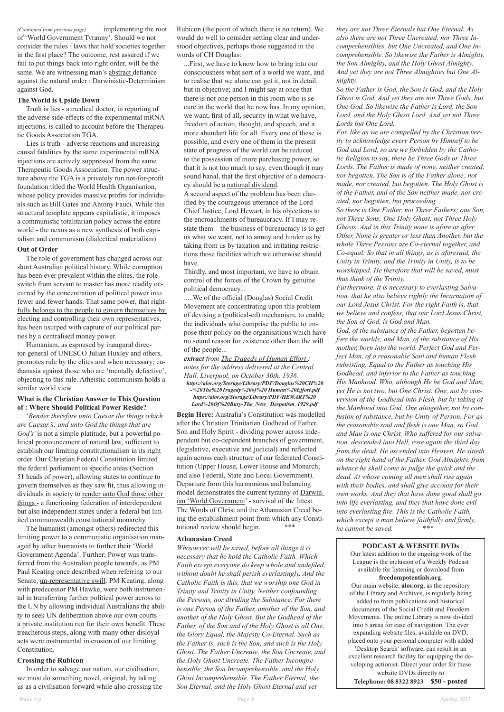*(Continued from previous page)* implementing the root of 'World Government Tyranny'. Should we not consider the rules / laws that hold societies together in the first place? The outcome, rest assured if we fail to put things back into right order, will be the same. We are witnessing man's abstract defiance against the natural order : Darwinistic-Determinism against God.

#### **The World is Upside Down**

 Truth is lies - a medical doctor, in reporting of the adverse side-effects of the experimental mRNA injections, is called to account before the Therapeutic Goods Association TGA.

 Lies is truth - adverse reactions and increasing causal fatalities by the same experimental mRNA injections are actively suppressed from the same Therapeutic Goods Association. The power structure above the TGA is a privately run not-for-profit foundation titled the World Health Organisation, whose policy provides massive profits for individuals such as Bill Gates and Antony Fauci. While this structural template appears capitalistic, it imposes a communistic totalitarian policy across the entire world - the nexus as a new synthesis of both capitalism and communism (dialectical materialism).

#### **Out of Order**

 The role of government has changed across our short Australian political history. While corruption has been ever prevalent within the elites, the roleswitch from servant to master has more readily occurred by the concentration of political power into fewer and fewer hands. That same power, that rightfully belongs to the people to govern themselves by electing and controlling their own representatives, has been usurped with capture of our political parties by a centralised money power.

 Humanism, as espoused by inaugural director-general of UNESCO Julian Huxley and others, promotes rule by the elites and when necessary; euthanasia against those who are 'mentally defective', objecting to this rule. Atheistic communism holds a similar world view.

## **What is the Christian Answer to This Question of : Where Should Political Power Reside?**

 '*Render therefore unto Caesar the things which are Caesar's; and unto God the things that are God's'* is not a simple platitude, but a powerful political pronouncement of natural law, sufficient to establish our limiting constitutionalism in its right order. Our Christian Federal Constitution limited the federal parliament to specific areas (Section 51 heads of power), allowing states to continue to govern themselves as they saw fit, thus allowing individuals in society to render unto God those other things - a functioning federation of interdependent but also independent states under a federal but limited commonwealth constitutional monarchy.

**Begin Here:** Australia's Constitution was modelled after the Christian Trinitarian Godhead of Father, Son and Holy Spirit - dividing power across independent but co-dependent branches of government, (legislative, executive and judicial) and reflected again across each structure of our federated Constitution (Upper House, Lower House and Monarch; and also Federal, State and Local Government). Departure from this harmonious and balancing model demonstrates the current tyranny of Darwinian 'World Government' - survival of the fittest. The Words of Christ and the Athanasian Creed being the establishment point from which any Constitutional review should begin. \*\*\*

 The humanist (amongst others) redirected this limiting power to a communistic organisation managed by other humanists to further their 'World Government Agenda'. Further; Power was transferred from the Australian people towards, as PM Paul Keating once described when referring to our Senate, un-representative swill. PM Keating, along with predecessor PM Hawke, were both instrumental in transferring further political power across to the UN by allowing individual Australians the ability to seek UN deliberation above our own courts a private institution run for their own benefit. These treacherous steps, along with many other disloyal acts were instrumental in erosion of our limiting Constitution.

## **Crossing the Rubicon**

 In order to salvage our nation, our civilisation, we must do something novel, original, by taking us as a civilisation forward while also crossing the Rubicon (the point of which there is no return). We would do well to consider setting clear and understood objectives, perhaps those suggested in the words of CH Douglas:

...First, we have to know how to bring into our consciousness what sort of a world we want, and to realise that we alone can get it, not in detail, but in objective; and I might say at once that there is not one person in this room who is secure in the world that he now has. In my opinion, we want, first of all, security in what we have, freedom of action, thought, and speech, and a more abundant life for all. Every one of these is possible, and every one of them in the present state of progress of the world can be reduced to the possession of more purchasing power, so that it is not too much to say, even though it may sound banal, that the first objective of a democracy should be a national dividend.

A second aspect of the problem has been clarified by the courageous utterance of the Lord Chief Justice, Lord Hewart, in his objections to the encroachments of bureaucracy. If I may restate them – the business of bureaucracy is to get us what we want, not to annoy and hinder us by taking from us by taxation and irritating restrictions those facilities which we otherwise should have.

Thirdly, and most important, we have to obtain control of the forces of the Crown by genuine political democracy...

.....We of the official (Douglas) Social Credit Movement are concentrating upon this problem of devising a (political-ed) mechanism, to enable the individuals who comprise the public to impose their policy on the organisations which have no sound reason for existence other than the will of the people...

*extract from The Tragedy of Human Effort : notes for the address delivered at the Central Hall, Liverpool, on October 30th, 1936. https://alor.org/Storage/Library/PDF/Douglas%20CH%20 -%20The%20Tragedy%20of%20 Human%20Effort.pdf https://alor.org/Storage/Library/PDF/HEWART%20 Lord%20Of%20Bury-The\_New\_ Despotism\_1929.pdf* 

#### **Athanasian Creed**

*Whosoever will be saved, before all things it is necessary that he hold the Catholic Faith. Which Faith except everyone do keep whole and undefiled, without doubt he shall perish everlastingly. And the Catholic Faith is this, that we worship one God in Trinity and Trinity in Unity. Neither confounding the Persons, nor dividing the Substance. For there is one Person of the Father, another of the Son, and another of the Holy Ghost. But the Godhead of the Father, of the Son and of the Holy Ghost is all One, the Glory Equal, the Majesty Co-Eternal. Such as the Father is, such is the Son, and such is the Holy Ghost. The Father Uncreate, the Son Uncreate, and the Holy Ghost Uncreate. The Father Incomprehensible, the Son Incomprehensible, and the Holy Ghost Incomprehensible. The Father Eternal, the Son Eternal, and the Holy Ghost Eternal and yet* 

*they are not Three Eternals but One Eternal. As also there are not Three Uncreated, nor Three Incomprehensibles, but One Uncreated, and One Incomprehensible. So likewise the Father is Almighty, the Son Almighty, and the Holy Ghost Almighty. And yet they are not Three Almighties but One Almighty.* 

*So the Father is God, the Son is God, and the Holy Ghost is God. And yet they are not Three Gods, but One God. So likewise the Father is Lord, the Son Lord, and the Holy Ghost Lord. And yet not Three Lords but One Lord.* 

*For, like as we are compelled by the Christian verity to acknowledge every Person by Himself to be God and Lord, so are we forbidden by the Catholic Religion to say, there be Three Gods or Three Lords. The Father is made of none, neither created, nor begotten. The Son is of the Father alone; not made, nor created, but begotten. The Holy Ghost is of the Father, and of the Son neither made, nor created, nor begotten, but proceeding.* 

*So there is One Father, not Three Fathers; one Son, not Three Sons; One Holy Ghost, not Three Holy Ghosts. And in this Trinity none is afore or after Other, None is greater or less than Another, but the whole Three Persons are Co-eternal together, and Co-equal. So that in all things, as is aforesaid, the Unity in Trinity, and the Trinity in Unity, is to be worshipped. He therefore that will be saved, must thus think of the Trinity.* 

*Furthermore, it is necessary to everlasting Salvation, that he also believe rightly the Incarnation of our Lord Jesus Christ. For the right Faith is, that we believe and confess, that our Lord Jesus Christ, the Son of God, is God and Man.* 

*God, of the substance of the Father, begotten before the worlds; and Man, of the substance of His mother, born into the world. Perfect God and Perfect Man, of a reasonable Soul and human Flesh subsisting. Equal to the Father as touching His Godhead, and inferior to the Father as touching His Manhood. Who, although He be God and Man, yet He is not two, but One Christ. One, not by conversion of the Godhead into Flesh, but by taking of the Manhood into God. One altogether, not by confusion of substance, but by Unity of Person. For as the reasonable soul and flesh is one Man, so God and Man is one Christ. Who suffered for our salvation, descended into Hell, rose again the third day from the dead. He ascended into Heaven, He sitteth on the right hand of the Father, God Almighty, from whence he shall come to judge the quick and the dead. At whose coming all men shall rise again with their bodies, and shall give account for their own works. And they that have done good shall go into life everlasting, and they that have done evil into everlasting fire. This is the Catholic Faith, which except a man believe faithfully and firmly, he cannot be saved.* \**\*\**

**PODCAST & WEBSITE DVDs** Our latest addition to the ongoing work of the League is the inclusion of a Weekly Podcast available for listening or download from **freedompotentials.org**.

Our main website, **alor.org**, as the repository of the Library and Archives, is regularly being added to from publications and historical documents of the Social Credit and Freedom Movements. The online Library is now divided into 5 areas for ease of navigation. The ever expanding website files, available on DVD, placed onto your personal computer with added 'Desktop Search' software, can result in an excellent research facility for equipping the developing actionist. Direct your order for these website DVDs directly to Telephone: 08 8322 8923 **\$50 - posted**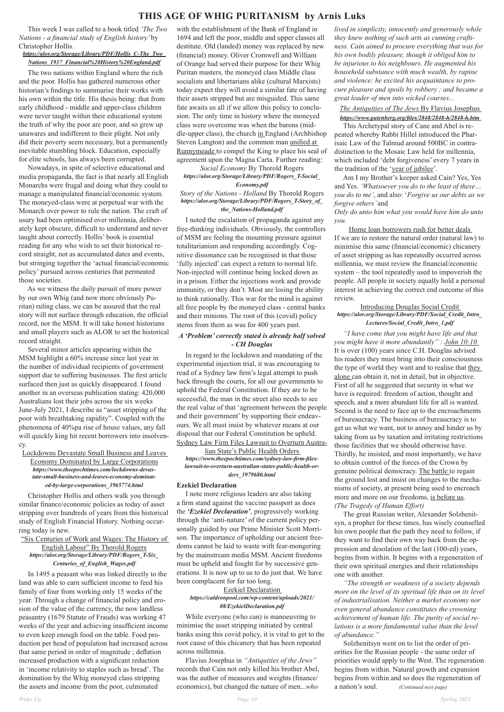## **THIS AGE OF WHIG PURITANISM by Arnis Luks**

 This week I was called to a book titled *'The Two Nations - a financial study of English history'* by Christopher Hollis.

#### *https://alor.org/Storage/Library/PDF/Hollis\_C-The\_Two\_ Nations\_1937\_Financial%20History%20England.pdf*

 The two nations within England where the rich and the poor. Hollis has gathered numerous other historian's findings to summarise their works with his own within the title. His thesis being: that from early childhood - middle and upper-class children were never taught within their educational system the truth of why the poor are poor, and so grew up unawares and indifferent to their plight. Not only did their poverty seem necessary, but a permanently inevitable stumbling block. Education, especially for elite schools, has always been corrupted.

 Nowadays, in spite of selective educational and media propaganda, the fact is that nearly all English Monarchs were frugal and doing what they could to manage a manipulated financial/economic system. The moneyed-class were at perpetual war with the Monarch over power to rule the nation. The craft of usury had been optimised over millennia, deliberately kept obscure, difficult to understand and never taught about correctly. Hollis' book is essential reading for any who wish to set their historical record straight, not as accumulated dates and events, but stringing together the 'actual financial/economic policy' pursued across centuries that permeated those societies.

 As we witness the daily pursuit of more power by our own Whig (and now more obviously Puritan) ruling class, we can be assured that the real story will not surface through education, the official record, nor the MSM. It will take honest historians and small players such as ALOR to set the historical record straight.

 Several minor articles appearing within the MSM highlight a 60% increase since last year in the number of individual recipients of government support due to suffering businesses. The first article surfaced then just as quickly disappeared. I found another in an overseas publication stating: 420,000 Australians lost their jobs across the six weeks June-July 2021, I describe as "asset stripping of the poor with breathtaking rapidity". Coupled with the phenomena of 40%pa rise of house values, any fall will quickly king hit recent borrowers into insolvency.

Lockdowns Devastate Small Business and Leaves

## Economy Dominated by Large Corporations *https://www.theepochtimes.com/lockdowns-devastate-small-business-and-leaves-economy-dominated-by-large-corporations\_3965774.html*

 Christopher Hollis and others walk you through similar finance/economic policies as today of asset stripping over hundreds of years from this historical study of English Financial History. Nothing occurring today is new.

"Six Centuries of Work and Wages: The History of English Labour" By Thorold Rogers *https://alor.org/Storage/Library/PDF/Rogers\_T-Six\_ Centuries\_of\_English\_Wages.pdf* 

 In 1495 a peasant who was linked directly to the land was able to earn sufficient income to feed his family of four from working only 15 weeks of the year. Through a change of financial policy and erosion of the value of the currency, the now landless peasantry (1679 Statute of Frauds) was working 47 weeks of the year and achieving insufficient income to even keep enough food on the table. Food production per head of population had increased across that same period in order of magnitude ; deflation increased production with a significant reduction in 'income relativity to staples such as bread'. The domination by the Whig moneyed class stripping the assets and income from the poor, culminated

with the establishment of the Bank of England in 1694 and left the poor, middle and upper classes all destitute. Old (landed) money was replaced by new (financial) money. Oliver Cromwell and William of Orange had served their purpose for their Whig Puritan masters, the moneyed class Middle class socialists and libertarians alike (cultural Marxists) today expect they will avoid a similar fate of having their assets stripped but are misguided. This same fate awaits us all if we allow this policy to conclusion. The only time in history where the moneyed class were overcome was when the barons (middle-upper class), the church in England (Archbishop Steven Langton) and the common man unified at Runnymeade to compel the King to place his seal of agreement upon the Magna Carta. Further reading:

*Social Economy* By Thorold Rogers *https://alor.org/Storage/Library/PDF/Rogers\_T-Social\_*

## *Economy.pdf*

*Story of the Nations - Holland* By Thorold Rogers *https://alor.org/Storage/Library/PDF/Rogers\_T-Story\_of\_ the\_Nations-Holland.pdf* 

 I noted the escalation of propaganda against any free-thinking individuals. Obviously, the controllers of MSM are feeling the mounting pressure against totalitarianism and responding accordingly. Cognitive dissonance can be recognised in that those 'fully injected' can expect a return to normal life. Non-injected will continue being locked down as in a prison. Either the injections work and provide immunity, or they don't. Most are losing the ability to think rationally. This war for the mind is against all free people by the moneyed class - central banks and their minions. The root of this (covid) policy stems from them as was for 400 years past.

## *A 'Problem' correctly stated is already half solved - CH Douglas*

 In regard to the lockdown and mandating of the experimental injection trial, it was encouraging to read of a Sydney law firm's legal attempt to push back through the courts, for all our governments to uphold the Federal Constitution. If they are to be successful, the man in the street also needs to see the real value of that 'agreement between the people and their government' by supporting their endeavours. We all must insist by whatever means at our disposal that our Federal Constitution be upheld. Sydney Law Firm Files Lawsuit to Overturn Austra-

lian State's Public Health Orders *https://www.theepochtimes.com/sydney-law-firm-fileslawsuit-to-overturn-australian-states-public-health-orders\_3979680.html* 

#### **Ezekiel Declaration**

 I note more religious leaders are also taking a firm stand against the vaccine passport as does the *'Ezekiel Declaration'*, progressively working through the 'anti-nature' of the current policy personally guided by our Prime Minister Scott Morrison. The importance of upholding our ancient free doms cannot be laid to waste with fear-mongering by the mainstream media MSM. Ancient freedoms must be upheld and fought for by successive generations. It is now up to us to do just that. We have been complacent for far too long.

## Ezekiel Declaration *https://caldronpool.com/wp-content/uploads/2021/ 08/EzekielDeclaration.pdf*

 While everyone (who can) is manoeuvring to minimise the asset stripping initiated by central banks using this covid policy, it is vital to get to the root cause of this chicanery that has been repeated across millennia.

 Flavius Josephus in *"Antiquities of the Jews"*  records that Cain not only killed his brother Abel, was the author of measures and weights (finance/ economics), but changed the nature of men...*who*  *lived in simplicity, innocently and generously while they knew nothing of such arts as cunning craftiness. Cain aimed to procure everything that was for his own bodily pleasure, though it obliged him to be injurious to his neighbours. He augmented his household substance with much wealth, by rapine and violence: he excited his acquaintance to procure pleasure and spoils by robbery ; and became a great leader of men into wicked courses...* 

## *The Antiquities of The Jews* By Flavius Josephus *https://www.gutenberg.org/files/2848/2848-h/2848-h.htm*

 This Archetypal story of Cane and Abel is repeated whereby Rabbi Hillel introduced the Pharisaic Law of the Talmud around 500BC in contradistinction to the Mosaic Law held for millennia, which included 'debt forgiveness' every 7 years in the tradition of the 'year of jubilee'.

 Am I my Brother's keeper asked Cain? Yes, Yes and Yes. *'Whatsoever you do to the least of these… you do to me'*, and also: '*Forgive us our debts as we forgive others'* and

*Only do unto him what you would have him do unto you.* 

Home loan borrowers rush for better deals If we are to restore the natural order (natural law) to minimise this same (financial/economic) chicanery of asset stripping as has repeatedly occurred across millennia, we must review the financial/economic system – the tool repeatedly used to impoverish the people. All people in society equally hold a personal interest in achieving the correct end outcome of this review.

#### Introducing Douglas Social Credit *https://alor.org/Storage/Library/PDF/Social\_Credit\_Intro\_ Lectures/Social\_Credit\_Intro\_1.pdf*

 *"I have come that you might have life and that you might have it more abundantly" : John 10:10*  It is over (100) years since C.H. Douglas advised his readers they must bring into their consciousness the type of world they want and to realise that they alone can obtain it, not in detail, but in objective. First of all he suggested that security in what we have is required: freedom of action, thought and speech, and a more abundant life for all is wanted. Second is the need to face up to the encroachments of bureaucracy. The business of bureaucracy is to get us what we want, not to annoy and hinder us by taking from us by taxation and irritating restrictions those facilities that we should otherwise have. Thirdly, he insisted, and most importantly, we have to obtain control of the forces of the Crown by genuine political democracy. The battle to regain the ground lost and insist on changes to the mechanisms of society, at present being used to encroach more and more on our freedoms, is before us. *(The Tragedy of Human Effort)* 

 The great Russian writer, Alexander Solzhenitsyn, a prophet for these times, has wisely counselled his own people that the path they need to follow, if they want to find their own way back from the oppression and desolation of the last (100-ed) years, begins from within. It begins with a regeneration of their own spiritual energies and their relationships one with another.  *"The strength or weakness of a society depends more on the level of its spiritual life than on its level of industrialisation. Neither a market economy nor even general abundance constitutes the crowning achievement of human life. The purity of social relations is a more fundamental value than the level of abundance."*  Solzhenitsyn went on to list the order of priorities for the Russian people - the same order of priorities would apply to the West. The regeneration begins from within. Natural growth and expansion begins from within and so does the regeneration of a nation's soul. *(Continued next page)*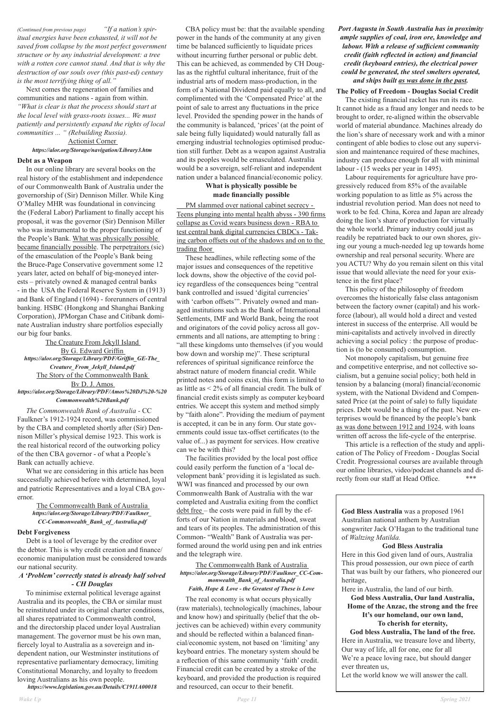*(Continued from previous page) "If a nation's spiritual energies have been exhausted, it will not be saved from collapse by the most perfect government structure or by any industrial development: a tree with a rotten core cannot stand. And that is why the destruction of our souls over (this past-ed) century is the most terrifying thing of all."* 

 Next comes the regeneration of families and communities and nations - again from within. *"What is clear is that the process should start at the local level with grass-roots issues... We must patiently and persistently expand the rights of local communities ... " (Rebuilding Russia).* 

## Actionist Corner *https://alor.org/Storage/navigation/Library3.htm*

#### **Debt as a Weapon**

 In our online library are several books on the real history of the establishment and independence of our Commonwealth Bank of Australia under the governorship of (Sir) Dennison Miller. While King O'Malley MHR was foundational in convincing the (Federal Labor) Parliament to finally accept his proposal, it was the governor (Sir) Dennison Miller who was instrumental to the proper functioning of the People's Bank. What was physically possible became financially possible. The perpetraitors (sic) of the emasculation of the People's Bank being the Bruce-Page Conservative government some 12 years later, acted on behalf of big-moneyed interests – privately owned & managed central banks - in the USA the Federal Reserve System in (1913) and Bank of England (1694) - forerunners of central banking. HSBC (Hongkong and Shanghai Banking Corporation), JPMorgan Chase and Citibank dominate Australian industry share portfolios especially our big four banks.

The Creature From Jekyll Island By G. Edward Griffin *https://alor.org/Storage/Library/PDF/Griffin\_GE-The\_ Creature\_From\_Jekyll\_Island.pdf*  The Story of the Commonwealth Bank Bv D. J. Amos *https://alor.org/Storage/Library/PDF/Amos%20DJ%20-%20 Commonwealth%20Bank.pdf* 

 *The Commonwealth Bank of Australia -* CC Faulkner's 1912-1924 record, was commissioned by the CBA and completed shortly after (Sir) Dennison Miller's physical demise 1923. This work is the real historical record of the outworking policy of the then CBA governor - of what a People's Bank can actually achieve.

 What we are considering in this article has been successfully achieved before with determined, loyal and patriotic Representatives and a loyal CBA governor.

> The Commonwealth Bank of Australia *https://alor.org/Storage/Library/PDF/Faulkner\_ CC-Commonwealth\_Bank\_of\_Australia.pdf*

#### **Debt Forgiveness**

 Debt is a tool of leverage by the creditor over the debtor. This is why credit creation and finance/ economic manipulation must be considered towards our national security.

*A 'Problem' correctly stated is already half solved - CH Douglas* 

 To minimise external political leverage against Australia and its peoples, the CBA or similar must be reinstituted under its original charter conditions, all shares repatriated to Commonwealth control, and the directorship placed under loyal Australian management. The governor must be his own man, fiercely loyal to Australia as a sovereign and independent nation, our Westminster institutions of representative parliamentary democracy, limiting Constitutional Monarchy, and loyalty to freedom loving Australians as his own people.

*https://www.legislation.gov.au/Details/C1911A00018* 

 CBA policy must be: that the available spending power in the hands of the community at any given time be balanced sufficiently to liquidate prices without incurring further personal or public debt. This can be achieved, as commended by CH Douglas as the rightful cultural inheritance, fruit of the industrial arts of modern mass-production, in the form of a National Dividend paid equally to all, and complimented with the 'Compensated Price' at the point of sale to arrest any fluctuations in the price level. Provided the spending power in the hands of the community is balanced, 'prices' (at the point of sale being fully liquidated) would naturally fall as emerging industrial technologies optimised production still further. Debt as a weapon against Australia and its peoples would be emasculated. Australia would be a sovereign, self-reliant and independent nation under a balanced financial/economic policy.

## **What is physically possible be made financially possible**

 PM slammed over national cabinet secrecy - Teens plunging into mental health abyss - 390 firms collapse as Covid wears business down - RBA to test central bank digital currencies CBDCs - Taking carbon offsets out of the shadows and on to the trading floor

> This article is a reflection of the study and application of The Policy of Freedom - Douglas Social Credit. Progressional courses are available through our online libraries, video/podcast channels and directly from our staff at Head Office. \*\*\*

 These headlines, while reflecting some of the major issues and consequences of the repetitive lock downs, show the objective of the covid policy regardless of the consequences being "central bank controlled and issued 'digital currencies' with 'carbon offsets'". Privately owned and managed institutions such as the Bank of International Settlements, IMF and World Bank, being the root and originators of the covid policy across all governments and all nations, are attempting to bring : "all these kingdoms unto themselves (if you would bow down and worship me)". These scriptural references of spiritual significance reinforce the abstract nature of modern financial credit. While printed notes and coins exist, this form is limited to as little as < 2% of all financial credit. The bulk of financial credit exists simply as computer keyboard entries. We accept this system and method simply by "faith alone". Providing the medium of payment is accepted, it can be in any form. Our state governments could issue tax-offset certificates (to the value of...) as payment for services. How creative can we be with this?

 The facilities provided by the local post office could easily perform the function of a 'local development bank' providing it is legislated as such. WWI was financed and processed by our own Commonwealth Bank of Australia with the war completed and Australia exiting from the conflict debt free – the costs were paid in full by the efforts of our Nation in materials and blood, sweat and tears of its peoples. The administration of this Common- "Wealth" Bank of Australia was performed around the world using pen and ink entries and the telegraph wire.

The Commonwealth Bank of Australia *https://alor.org/Storage/Library/PDF/Faulkner\_CC-Commonwealth\_Bank\_of\_Australia.pdf Faith, Hope & Love - the Greatest of These is Love* 

 The real economy is what occurs physically (raw materials), technologically (machines, labour and know how) and spiritually (belief that the objectives can be achieved) within every community and should be reflected within a balanced financial/economic system, not based on 'limiting' any keyboard entries. The monetary system should be a reflection of this same community 'faith' credit. Financial credit can be created by a stroke of the keyboard, and provided the production is required and resourced, can occur to their benefit.

*Port Augusta in South Australia has in proximity ample supplies of coal, iron ore, knowledge and labour. With a release of sufficient community credit (faith reflected in action) and financial credit (keyboard entries), the electrical power could be generated, the steel smelters operated, and ships built as was done in the past.* 

#### **The Policy of Freedom - Douglas Social Credit**

 The existing financial racket has run its race. It cannot hide as a fraud any longer and needs to be brought to order, re-aligned within the observable world of material abundance. Machines already do the lion's share of necessary work and with a minor contingent of able bodies to close out any supervision and maintenance required of these machines, industry can produce enough for all with minimal labour - (15 weeks per year in 1495).

 Labour requirements for agriculture have progressively reduced from 85% of the available working population to as little as 5% across the industrial revolution period. Man does not need to work to be fed. China, Korea and Japan are already doing the lion's share of production for virtually the whole world. Primary industry could just as readily be repatriated back to our own shores, giving our young a much-needed leg up towards home ownership and real personal security. Where are you ACTU? Why do you remain silent on this vital issue that would alleviate the need for your existence in the first place?

 This policy of the philosophy of freedom overcomes the historically false class antagonism between the factory owner (capital) and his workforce (labour), all would hold a direct and vested interest in success of the enterprise. All would be mini-capitalists and actively involved in directly achieving a social policy : the purpose of production is (to be consumed) consumption.

 Not monopoly capitalism, but genuine free and competitive enterprise, and not collective socialism, but a genuine social policy; both held in tension by a balancing (moral) financial/economic system, with the National Dividend and Compensated Price (at the point of sale) to fully liquidate prices. Debt would be a thing of the past. New enterprises would be financed by the people's bank as was done between 1912 and 1924, with loans written off across the life-cycle of the enterprise.

**God Bless Australia** was a proposed 1961 Australian national anthem by Australian songwriter Jack O'Hagan to the traditional tune of *Waltzing Matilda.*

#### **God Bless Australia**

Here in this God given land of ours, Australia This proud possession, our own piece of earth That was built by our fathers, who pioneered our heritage,

Here in Australia, the land of our birth.

**God bless Australia, Our land Australia, Home of the Anzac, the strong and the free It's our homeland, our own land, To cherish for eternity, God bless Australia, The land of the free.** Here in Australia, we treasure love and liberty, Our way of life, all for one, one for all We're a peace loving race, but should danger ever threaten us,

Let the world know we will answer the call.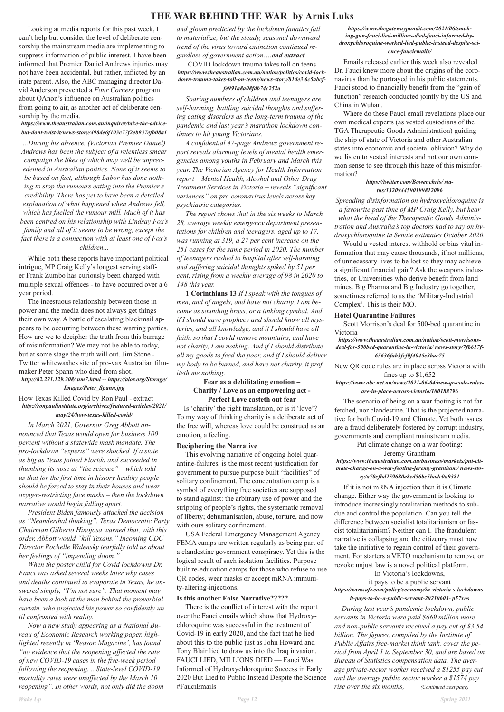## **THE WAR BEHIND THE WAR by Arnis Luks**

 Looking at media reports for this past week, I can't help but consider the level of deliberate censorship the mainstream media are implementing to suppress information of public interest. I have been informed that Premier Daniel Andrews injuries may not have been accidental, but rather, inflicted by an irate parent. Also, the ABC managing director David Anderson prevented a *Four Corners* program about QAnon's influence on Australian politics from going to air, as another act of deliberate censorship by the media.

## *https://www.theaustralian.com.au/inquirer/take-the-advicebut-dont-twist-it/news-story/498de6f103e77f2eb937efb08a1*

*...During his absence, (Victorian Premier Daniel) Andrews has been the subject of a relentless smear campaign the likes of which may well be unprecedented in Australian politics. None of it seems to be based on fact, although Labor has done nothing to stop the rumours eating into the Premier's credibility. There has yet to have been a detailed explanation of what happened when Andrews fell, which has fuelled the rumour mill. Much of it has been centred on his relationship with Lindsay Fox's family and all of it seems to be wrong, except the fact there is a connection with at least one of Fox's children...*

 While both these reports have important political intrigue, MP Craig Kelly's longest serving staffer Frank Zumbo has curiously been charged with multiple sexual offences - to have occurred over a 6 year period.

 The incestuous relationship between those in power and the media does not always get things their own way. A battle of escalating blackmail appears to be occurring between these warring parties. How are we to decipher the truth from this barrage of misinformation? We may not be able to today, but at some stage the truth will out. Jim Stone - Twitter whitewashes site of pro-vax Australian filmmaker Peter Spann who died from shot.

## *http://82.221.129.208/.um7.html -- https://alor.org/Storage/*

#### *Images/Peter\_Spann.jpg*

How Texas Killed Covid by Ron Paul - extract *http://ronpaulinstitute.org/archives/featured-articles/2021/*

## *may/24/how-texas-killed-covid/*

 *In March 2021, Governor Greg Abbott announced that Texas would open for business 100 percent without a statewide mask mandate. The pro-lockdown "experts" were shocked. If a state as big as Texas joined Florida and succeeded in thumbing its nose at "the science" – which told us that for the first time in history healthy people should be forced to stay in their houses and wear oxygen-restricting face masks – then the lockdown narrative would begin falling apart.* 

 This evolving narrative of ongoing hotel quarantine-failures, is the most recent justification for government to pursue purpose built "facilities" of solitary confinement. The concentration camp is a symbol of everything free societies are supposed to stand against: the arbitrary use of power and the stripping of people's rights, the systematic removal of liberty; dehumanisation, abuse, torture, and now with ours solitary confinement.

 *President Biden famously attacked the decision as "Neanderthal thinking". Texas Democratic Party Chairman Gilberto Hinojosa warned that, with this order, Abbott would "kill Texans." Incoming CDC Director Rochelle Walensky tearfully told us about her feelings of "impending doom." When the poster child for Covid lockdowns Dr. Fauci was asked several weeks later why cases and deaths continued to evaporate in Texas, he answered simply, "I'm not sure". That moment may have been a look at the man behind the proverbial curtain, who projected his power so confidently until confronted with reality. Now a new study appearing as a National Bureau of Economic Research working paper, highlighted recently in 'Reason Magazine', has found "no evidence that the reopening affected the rate of new COVID-19 cases in the five-week period following the reopening. ...State-level COVID-19 mortality rates were unaffected by the March 10 reopening". In other words, not only did the doom* 

*and gloom predicted by the lockdown fanatics fail to materialize, but the steady, seasonal downward trend of the virus toward extinction continued regardless of government action.…end extract* 

#### COVID lockdown trauma takes toll on teens *https://www.theaustralian.com.au/nation/politics/covid-lockdown-trauma-takes-toll-on-teens/news-story/81de3 6c5abcffe991a8a08fdb74c252a*

 *Soaring numbers of children and teenagers are self-harming, battling suicidal thoughts and suffering eating disorders as the long-term trauma of the pandemic and last year's marathon lockdown continues to hit young Victorians.* 

 *A confidential 47-page Andrews government report reveals alarming levels of mental health emergencies among youths in February and March this year. The Victorian Agency for Health Information report – Mental Health, Alcohol and Other Drug Treatment Services in Victoria – reveals "significant variances" on pre-coronavirus levels across key psychiatric categories.* 

 *The report shows that in the six weeks to March 28, average weekly emergency department presentations for children and teenagers, aged up to 17, was running at 319, a 27 per cent increase on the 251 cases for the same period in 2020. The number of teenagers rushed to hospital after self-harming and suffering suicidal thoughts spiked by 51 per cent, rising from a weekly average of 98 in 2020 to 148 this year.* 

 **1 Corinthians 13** *If I speak with the tongues of men, and of angels, and have not charity, I am become as sounding brass, or a tinkling cymbal. And if I should have prophecy and should know all mysteries, and all knowledge, and if I should have all faith, so that I could remove mountains, and have not charity, I am nothing. And if I should distribute all my goods to feed the poor, and if I should deliver my body to be burned, and have not charity, it profiteth me nothing*.

## **Fear as a debilitating emotion – Charity / Love as an empowering act - Perfect Love casteth out fear**

 Is 'charity' the right translation, or is it 'love'? To my way of thinking charity is a deliberate act of the free will, whereas love could be construed as an emotion, a feeling.

#### **Deciphering the Narrative**

USA Federal Emergency Management Agency

FEMA camps are written regularly as being part of a clandestine government conspiracy. Yet this is the logical result of such isolation facilities. Purpose built re-education camps for those who refuse to use QR codes, wear masks or accept mRNA immunity-altering-injections.

#### **Is this another False Narrative?????**

 There is the conflict of interest with the report over the Fauci emails which show that Hydroxychloroquine was successful in the treatment of Covid-19 in early 2020, and the fact that he lied about this to the public just as John Howard and Tony Blair lied to draw us into the Iraq invasion. FAUCI LIED, MILLIONS DIED — Fauci Was Informed of Hydroxychloroquine Success in Early 2020 But Lied to Public Instead Despite the Science #FauciEmails

#### *https://www.thegatewaypundit.com/2021/06/smoking-gun-fauci-lied-millions-died-fauci-informed-hydroxychloroquine-worked-lied-public-instead-despite-science-fauciemails/*

 Emails released earlier this week also revealed Dr. Fauci knew more about the origins of the coronavirus than he portrayed in his public statements. Fauci stood to financially benefit from the "gain of function" research conducted jointly by the US and China in Wuhan.

 Where do these Fauci email revelations place our own medical experts (as vested custodians of the TGA Therapeutic Goods Administration) guiding the ship of state of Victoria and other Australian states into economic and societal oblivion? Why do we listen to vested interests and not our own common sense to see through this haze of this misinformation?

#### *https://twitter.com/Bowenchris/ status/1320944590199812096*

*Spreading disinformation on hydroxychloroquine is a favourite past time of MP Craig Kelly, but hear what the head of the Therapeutic Goods Administration and Australia's top doctors had to say on hydroxychloroquine in Senate estimates October 2020.* 

 Would a vested interest withhold or bias vital information that may cause thousands, if not millions, of unnecessary lives to be lost so they may achieve a significant financial gain? Ask the weapons industries, or Universities who derive benefit from land mines. Big Pharma and Big Industry go together, sometimes referred to as the 'Military-Industrial Complex'. This is their MO.

#### **Hotel Quarantine Failures**

 Scott Morrison's deal for 500-bed quarantine in Victoria

*https://www.theaustralian.com.au/nation/scott-morrisonsdeal-for-500bed-quarantine-in-victoria/ news-story/7f6617f-65636fab3fcf0f4045e3bae75*

New QR code rules are in place across Victoria with fines up to \$1,652

## *https://www.abc.net.au/news/2021-06-04/new-qr-code-rulesare-in-place-across-victoria/100188796*

 The scenario of being on a war footing is not far fetched, nor clandestine. That is the projected narrative for both Covid-19 and Climate. Yet both issues are a fraud deliberately fostered by corrupt industry, governments and compliant mainstream media.

Put climate change on a war footing:

#### Jeremy Grantham

#### *https://www.theaustralian.com.au/business/markets/put-climate-change-on-a-war-footing-jeremy-grantham/ news-story/a70cfbd259680e8ed56bc5badc0a9381*

 If it is not mRNA injection then it is Climate change. Either way the government is looking to introduce increasingly totalitarian methods to subdue and control the population. Can you tell the difference between socialist totalitarianism or fascist totalitarianism? Neither can I. The fraudulent narrative is collapsing and the citizenry must now take the initiative to regain control of their government. For starters a VETO mechanism to remove or revoke unjust law is a novel political platform. In Victoria's lockdowns,

it pays to be a public servant *https://www.afr.com/policy/economy/in-victoria-s-lockdowns-*

#### *it-pays-to-be-a-public-servant-20210603- p57xos*

 *During last year's pandemic lockdown, public servants in Victoria were paid \$669 million more and non-public servants received a pay cut of \$3.54 billion. The figures, compiled by the Institute of Public Affairs free-market think tank, cover the period from April 1 to September 30, and are based on Bureau of Statistics compensation data. The average private-sector worker received a \$1255 pay cut and the average public sector worker a \$1574 pay rise over the six months, (Continued next page)*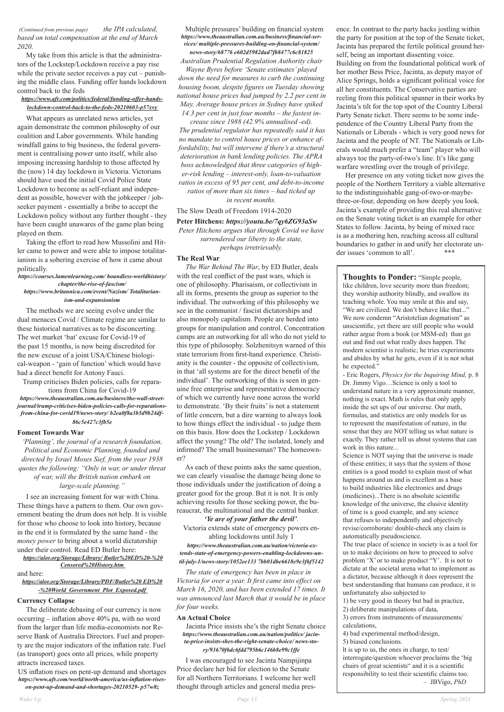## *(Continued from previous page) the IPA calculated, based on total compensation at the end of March 2020.*

 My take from this article is that the administrators of the Lockstep/Lockdown receive a pay rise while the private sector receives a pay cut – punishing the middle class. Funding offer hands lockdown control back to the feds

## *https://www.afr.com/politics/federal/funding-offer-handslockdown-control-back-to-the-feds-20210603-p57xvy*

 What appears as unrelated news articles, yet again demonstrate the common philosophy of our coalition and Labor governments. While handing windfall gains to big business, the federal government is centralising power unto itself, while also imposing increasing hardship to those affected by the (now) 14 day lockdown in Victoria. Victorians should have used the initial Covid Police State Lockdown to become as self-reliant and independent as possible, however with the jobkeeper / jobseeker payment - essentially a bribe to accept the Lockdown policy without any further thought - they have been caught unawares of the game plan being played on them.

 Taking the effort to read how Mussolini and Hitler came to power and were able to impose totalitarianism is a sobering exercise of how it came about politically.

#### *https://courses.lumenlearning.com/ boundless-worldhistory/ chapter/the-rise-of-fascism/*

#### *https://www.britannica.com/event/Nazism/ Totalitarianism-and-expansionism*

 The methods we are seeing evolve under the dual menaces Covid / Climate regime are similar to these historical narratives as to be disconcerting. The wet market 'bat' excuse for Covid-19 of the past 15 months, is now being discredited for the new excuse of a joint USA/Chinese biological-weapon - 'gain of function' which would have had a direct benefit for Antony Fauci.

Trump criticises Biden policies, calls for reparations from China for Covid-19 *https://www.theaustralian.com.au/business/the-wall-streetjournal/trump-criticises-biden-policies-calls-for-reparationsfrom-china-for-covid19/news-story/ b2ea0f8a3b5d9b24df-86c5e427c3fb5e* 

## **Foment Towards War**

*'Planning', the journal of a research foundation, Political and Economic Planning, founded and directed by Israel Moses Sief, from the year 1938 quotes the following: "Only in war, or under threat of war, will the British nation embark on large-scale planning."* 

 I see an increasing foment for war with China. These things have a pattern to them. Our own government beating the drum does not help. It is visible for those who choose to look into history, because in the end it is formulated by the same hand - the

*money power* to bring about a world dictatorship under their control. Read ED Butler here: *https://alor.org/Storage/Library/ Butler%20ED%20-%20 Censored%20History.htm* 

and here: *https://alor.org/Storage/Library/PDF/Butler%20 ED%20*

*-%20World\_Government\_Plot\_Exposed.pdf* 

**Currency Collapse** 

 The deliberate debasing of our currency is now occurring – inflation above 40% pa, with no word from the larger than life media-economists nor Reserve Bank of Australia Directors. Fuel and property are the major indicators of the inflation rate. Fuel (as transport) goes onto all prices, while property attracts increased taxes.

US inflation rises on pent-up demand and shortages *https://www.afr.com/world/north-america/us-inflation-riseson-pent-up-demand-and-shortages-20210529- p57w8z* 

#### Multiple pressures' building on financial system *https://www.theaustralian.com.au/business/financial-services/ multiple-pressures-building-on-financial-system/ news-story/68776 e602d5982dad7fb8477c6c81825*

*Australian Prudential Regulation Authority chair* 

*Wayne Byres before 'Senate estimates' played down the need for measures to curb the continuing housing boom, despite figures on Tuesday showing national house prices had jumped by 2.2 per cent in May. Average house prices in Sydney have spiked 14.3 per cent in just four months – the fastest in-*

> Her presence on any voting ticket now gives the people of the Northern Territory a viable alternative to the indistinguishable gang-of-two-or-maybethree-or-four, depending on how deeply you look. Jacinta's example of providing this real alternative on the Senate voting ticket is an example for other States to follow. Jacinta, by being of mixed race is as a mothering hen, reaching across all cultural boundaries to gather in and unify her electorate under issues 'common to all'. \*\*\*

*crease since 1988 (42.9% annualised -ed). The prudential regulator has repeatedly said it has no mandate to control house prices or enhance affordability, but will intervene if there's a structural deterioration in bank lending policies. The APRA boss acknowledged that three categories of higher-risk lending – interest-only, loan-to-valuation ratios in excess of 95 per cent, and debt-to-income ratios of more than six times – had ticked up* 

*in recent months.* 

## The Slow Death of Freedom 1914-2020

## **Peter Hitchens:** *https://youtu.be/7qy6ZG93aSw*

*Peter Hitchens argues that through Covid we have surrendered our liberty to the state, perhaps irretrievably.* 

#### **The Real War**

 *The War Behind The War*, by ED Butler, deals with the real conflict of the past wars, which is one of philosophy. Pharisaism, or collectivism in all its forms, presents the group as superior to the individual. The outworking of this philosophy we see in the communist / fascist dictatorships and also monopoly capitalism. People are herded into groups for manipulation and control. Concentration camps are an outworking for all who do not yield to this type of philosophy. Solzhenitsyn warned of this state terrorism from first-hand experience. Christianity is the counter - the opposite of collectivism, in that 'all systems are for the direct benefit of the individual'. The outworking of this is seen in genuine free enterprise and representative democracy of which we currently have none across the world to demonstrate. 'By their fruits' is not a statement of little concern, but a dire warning to always look to how things effect the individual - to judge them on this basis. How does the Lockstep / Lockdown affect the young? The old? The isolated, lonely and infirmed? The small businessman? The homeowner?

 As each of these points asks the same question, we can clearly visualise the damage being done to those individuals under the justification of doing a greater good for the group. But it is not. It is only achieving results for those seeking power, the bureaucrat, the multinational and the central banker.

## *'Ye are of your father the devil'*.

Victoria extends state of emergency powers enabling lockdowns until July 1

*https://www.theaustralian.com.au/nation/victoria-extends-state-of-emergency-powers-enabling-lockdowns-until-july-1/news-story/1052ee133 7bb01dbe6618e9e3f6f5142* 

 *The state of emergency has been in place in Victoria for over a year. It first came into effect on March 16, 2020, and has been extended 17 times. It was announced last March that it would be in place for four weeks.* 

## **An Actual Choice**

 Jacinta Price insists she's the right Senate choice *https://www.theaustralian.com.au/nation/politics/ jacinta-price-insists-shes-the-right-senate-choice/ news-story/93670f6dc6fdd795b6c146b8e99c1ffe* 

 I was encouraged to see Jacinta Nampijinpa Price declare her bid for election to the Senate for all Northern Territorians. I welcome her well thought through articles and general media pres-

ence. In contrast to the party hacks jostling within the party for position at the top of the Senate ticket, Jacinta has prepared the fertile political ground herself, being an important dissenting voice. Building on from the foundational political work of her mother Bess Price, Jacinta, as deputy mayor of Alice Springs, holds a significant political voice for all her constituents. The Conservative parties are reeling from this political spanner in their works by Jacinta's tilt for the top spot of the Country Liberal Party Senate ticket. There seems to be some independence of the Country Liberal Party from the Nationals or Liberals - which is very good news for Jacinta and the people of NT. The Nationals or Liberals would much prefer a "team" player who will always toe the party-of-two's line. It's like gang warfare wrestling over the trough of privilege.

**Thoughts to Ponder:** "Simple people, like children, love security more than freedom; they worship authority blindly, and swallow its teaching whole. You may smile at this and say, "We are civilized. We don't behave like that..." We now condemn "Aristotelian dogmatism" as unscientific, yet there are still people who would rather argue from a book (or MSM-ed) than go out and find out what really does happen. The modern scientist is realistic; he tries experiments and abides by what he gets, even if it is not what he expected."

- Eric Rogers, *Physics for the Inquiring Mind,* p. 8 Dr. Jimmy Vigo…Science is only a tool to understand nature in a very approximate manner, nothing is exact. Math is rules that only apply inside the set ups of our universe. Our math, formulas, and statistics are only models for us to represent the manifestation of nature, in the sense that they are NOT telling us what nature is exactly. They rather tell us about systems that can work in this nature...

Science is NOT saying that the universe is made of these entities; it says that the system of those entities is a good model to explain most of what happens around us and is excellent as a base to build industries like electronics and drugs (medicines)...There is no absolute scientific knowledge of the universe, the elusive identity of time is a good example, and any science that refuses to independently and objectively revise/corroborate/ double-check any claim is automatically pseudoscience. The true place of science in society is as a tool for us to make decisions on how to proceed to solve problem 'X' or to make product "Y'. It is not to dictate at the societal arena what to implement as a dictator, because although it does represent the best understanding that humans can produce, it is unfortunately also subjected to 1) be very good in theory but bad in practice, 2) deliberate manipulations of data, 3) errors from instruments of measurements/ calculations, 4) bad experimental method/design, 5) biased conclusions. lt is up to us, the ones in charge, to test/ interrogate/question whoever proclaims the 'big chairs of great scientists" and it is a scientific responsibility to test their scientific claims too. – JBVigo, *PhD*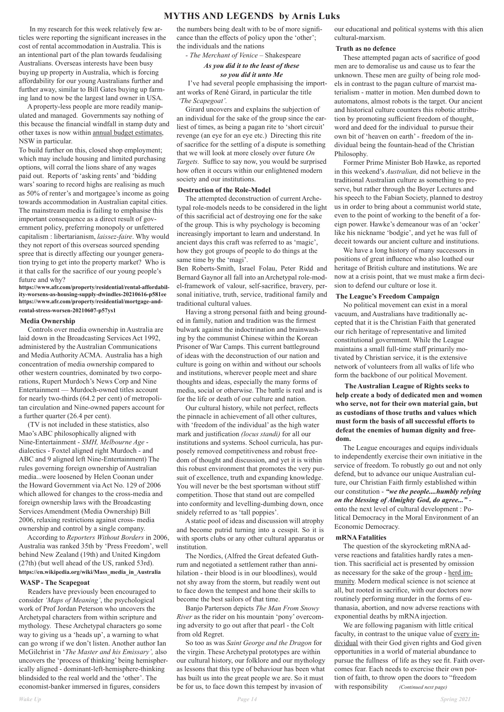## **MYTHS AND LEGENDS by Arnis Luks**

In my research for this week relatively few articles were reporting the significant increases in the cost of rental accommodation in Australia. This is an intentional part of the plan towards feudalising Australians. Overseas interests have been busy buying up property in Australia, which is forcing affordability for our young Australians further and further away, similar to Bill Gates buying up farming land to now be the largest land owner in USA.

A property-less people are more readily manipulated and managed. Governments say nothing of this because the financial windfall in stamp duty and other taxes is now within annual budget estimates, NSW in particular.

To build further on this, closed shop employment; which may include housing and limited purchasing options, will corral the lions share of any wages paid out. Reports of 'asking rents' and 'bidding wars' soaring to record highs are realising as much as 50% of renter's and mortgagee's income as going towards accommodation in Australian capital cities. The mainstream media is failing to emphasise this important consequence as a direct result of government policy, preferring monopoly or unfettered capitalism : libertarianism, *laissez-faire*. Why would they not report of this overseas sourced spending spree that is directly affecting our younger generation trying to get into the property market? Who is it that calls for the sacrifice of our young people's future and why?

#### **https://www.afr.com/property/residential/rental-affordability-worsens-as-housing-supply-dwindles-20210616-p581ee https://www.afr.com/property/residential/mortgage-andrental-stress-worsen-20210607-p57ys1**

#### **Media Ownership**

Controls over media ownership in Australia are laid down in the Broadcasting Services Act 1992, administered by the Australian Communications and Media Authority ACMA. Australia has a high concentration of media ownership compared to other western countries, dominated by two corporations, Rupert Murdoch's News Corp and Nine Entertainment — Murdoch-owned titles account for nearly two-thirds (64.2 per cent) of metropolitan circulation and Nine-owned papers account for a further quarter (26.4 per cent).

 (TV is not included in these statistics, also Mao's ABC philosophically aligned with Nine-Entertainment - *SMH, Melbourne Age*  dialectics - Foxtel aligned right Murdoch - and ABC and 9 aligned left Nine-Entertainment) The rules governing foreign ownership of Australian media...were loosened by Helen Coonan under the Howard Government via Act No. 129 of 2006 which allowed for changes to the cross-media and foreign ownership laws with the Broadcasting Services Amendment (Media Ownership) Bill 2006, relaxing restrictions against cross- media ownership and control by a single company.

According to *Reporters Without Borders* in 2006,

Australia was ranked 35th by 'Press Freedom', well behind New Zealand (19th) and United Kingdom (27th) (but well ahead of the US, ranked 53rd). **https://en.wikipedia.org/wiki/Mass\_media\_in\_Australia**

## **WASP - The Scapegoat**

Readers have previously been encouraged to consider *'Maps of Meaning'*, the psychological work of Prof Jordan Peterson who uncovers the Archetypal characters from within scripture and mythology. These Archetypal characters go some way to giving us a 'heads up', a warning to what can go wrong if we don't listen. Another author Ian McGilchrist in '*The Master and his Emissary',* also uncovers the 'process of thinking' being hemispherically aligned - dominant-left-hemisphere-thinking blindsided to the real world and the 'other'. The economist-banker immersed in figures, considers

the numbers being dealt with to be of more significance than the effects of policy upon the 'other'; the individuals and the nations

*- The Merchant of Venice –* Shakespeare

## *As you did it to the least of these so you did it unto Me*

 I've had several people emphasising the important works of René Girard, in particular the title *'The Scapegoat'.*

Girard uncovers and explains the subjection of an individual for the sake of the group since the earliest of times, as being a pagan rite to 'short circuit' revenge (an eye for an eye etc.) Directing this rite of sacrifice for the settling of a dispute is something that we will look at more closely over future *On Targets.* Suffice to say now, you would be surprised how often it occurs within our enlightened modern society and our institutions.

#### **Destruction of the Role-Model**

The attempted deconstruction of current Archetypal role-models needs to be considered in the light of this sacrificial act of destroying one for the sake of the group. This is why psychology is becoming increasingly important to learn and understand. In ancient days this craft was referred to as 'magic', how they got groups of people to do things at the same time by the 'magi'.

Ben Roberts-Smith, Israel Folau, Peter Ridd and Bernard Gaynor all fall into an Archetypal role-model-framework of valour, self-sacrifice, bravery, personal initiative, truth, service, traditional family and traditional cultural values.

Having a strong personal faith and being grounded in family, nation and tradition was the firmest bulwark against the indoctrination and brainwashing by the communist Chinese within the Korean Prisoner of War Camps. This current battleground of ideas with the deconstruction of our nation and culture is going on within and without our schools and institutions, wherever people meet and share thoughts and ideas, especially the many forms of media, social or otherwise. The battle is real and is for the life or death of our culture and nation.

Our cultural history, while not perfect, reflects the pinnacle in achievement of all other cultures, with 'freedom of the individual' as the high water mark and justification *(locus standi)* for all our institutions and systems. School curricula, has purposely removed competitiveness and robust freedom of thought and discussion, and yet it is within this robust environment that promotes the very pursuit of excellence, truth and expanding knowledge. You will never be the best sportsman without stiff competition. Those that stand out are compelled into conformity and levelling-dumbing down, once snidely referred to as 'tall poppies'.

A static pool of ideas and discussion will atrophy and become putrid turning into a cesspit. So it is with sports clubs or any other cultural apparatus or institution.

The Nordics, (Alfred the Great defeated Guthrum and negotiated a settlement rather than annihilation - their blood is in our bloodlines), would not shy away from the storm, but readily went out to face down the tempest and hone their skills to become the best sailors of that time.

Banjo Parterson depicts *The Man From Snowy River* as the rider on his mountain 'pony' overcoming adversity to go out after that pearl - the Colt from old Regret.

So too as was *Saint George and the Dragon* for the virgin. These Archetypal prototypes are within our cultural history, our folklore and our mythology as lessons that this type of behaviour has been what has built us into the great people we are. So it must be for us, to face down this tempest by invasion of

our educational and political systems with this alien cultural-marxism.

#### **Truth as no defence**

These attempted pagan acts of sacrifice of good men are to demoralise us and cause us to fear the unknown. These men are guilty of being role models in contrast to the pagan culture of marxist materialism - matter in motion. Men dumbed down to automatons, almost robots is the target. Our ancient and historical culture counters this robotic attribution by promoting sufficient freedom of thought, word and deed for the individual to pursue their own bit of 'heaven on earth' - freedom of the individual being the fountain-head of the Christian Philosophy.

Former Prime Minister Bob Hawke, as reported in this weekend's *Australian,* did not believe in the traditional Australian culture as something to preserve, but rather through the Boyer Lectures and his speech to the Fabian Society, planned to destroy us in order to bring about a communist world state, even to the point of working to the benefit of a foreign power. Hawke's demeanour was of an 'ocker' like his nickname 'bodgie', and yet he was full of deceit towards our ancient culture and institutions.

We have a long history of many successors in positions of great influence who also loathed our heritage of British culture and institutions. We are now at a crisis point, that we must make a firm decision to defend our culture or lose it.

#### **The League's Freedom Campaign**

No political movement can exist in a moral vacuum, and Australians have traditionally accepted that it is the Christian Faith that generated our rich heritage of representative and limited constitutional government. While the League maintains a small full-time staff primarily motivated by Christian service, it is the extensive network of volunteers from all walks of life who form the backbone of our political Movement.

**The Australian League of Rights seeks to help create a body of dedicated men and women who serve, not for their own material gain, but as custodians of those truths and values which must form the basis of all successful efforts to defeat the enemies of human dignity and freedom.**

The League encourages and equips individuals to independently exercise their own initiative in the service of freedom. To robustly go out and not only defend, but to advance our unique Australian culture, our Christian Faith firmly established within our constitution - *"we the people....humbly relying on the blessing of Almighty God, do agree..."* onto the next level of cultural development : Political Democracy in the Moral Environment of an Economic Democracy.

#### **mRNA Fatalities**

The question of the skyrocketing mRNA adverse reactions and fatalities hardly rates a mention. This sacrificial act is presented by omission as necessary for the sake of the group - herd immunity. Modern medical science is not science at all, but rooted in sacrifice, with our doctors now routinely performing murder in the forms of euthanasia, abortion, and now adverse reactions with exponential deaths by mRNA injection.

We are following paganism with little critical faculty, in contrast to the unique value of every individual with their God given rights and God given opportunities in a world of material abundance to pursue the fullness of life as they see fit. Faith overcomes fear. Each needs to exercise their own portion of faith, to throw open the doors to "freedom with responsibility *(Continued next page)*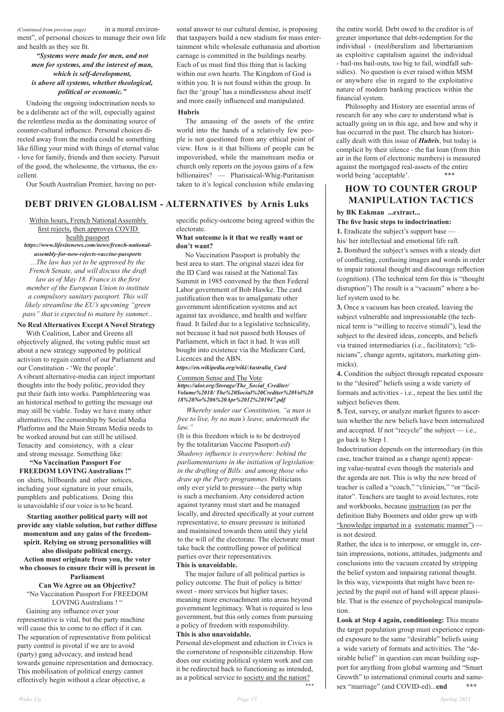*(Continued from previous page)* in a moral environment", of personal choices to manage their own life and health as they see fit.

## *"Systems were made for men, and not men for systems, and the interest of man, which is self-development, is above all systems, whether theological, political or economic."*

Undoing the ongoing indoctrination needs to be a deliberate act of the will, especially against the relentless media as the dominating source of counter-cultural influence. Personal choices directed away from the media could be something like filling your mind with things of eternal value - love for family, friends and then society. Pursuit of the good, the wholesome, the virtuous, the excellent.

Our South Australian Premier, having no per-

sonal answer to our cultural demise, is proposing that taxpayers build a new stadium for mass entertainment while wholesale euthanasia and abortion carnage is committed in the buildings nearby. Each of us must find this thing that is lacking within our own hearts. The Kingdom of God is within you. It is not found within the group. In fact the 'group' has a mindlessness about itself and more easily influenced and manipulated.

Philosophy and History are essential areas of research for any who care to understand what is actually going on in this age, and how and why it has occurred in the past. The church has historically dealt with this issue of *Hubris*, but today is complicit by their silence - the fiat loan (from thin air in the form of electronic numbers) is measured against the mortgaged real-assets of the entire world being 'acceptable'.

## **Hubris**

The amassing of the assets of the entire world into the hands of a relatively few people is not questioned from any ethical point of view. How is it that billions of people can be impoverished, while the mainstream media or church only reports on the joyous gains of a few billionaires? — Pharisaical-Whig-Puritanism taken to it's logical conclusion while enslaving

the entire world. Debt owed to the creditor is of greater importance that debt-redemption for the individual - (neoliberalism and libertarianism as exploitive capitalism against the individual - bail-ins bail-outs, too big to fail, windfall subsidies). No question is ever raised within MSM or anywhere else in regard to the exploitative nature of modern banking practices within the financial system.

# **HOW TO COUNTER GROUP MANIPULATION TACTICS**

## **by BK Eakman ...extract...**

## **The five basic steps to indoctrination:**

**1.** Eradicate the subject's support base his/ her intellectual and emotional life raft.

Within hours, French National Assembly first rejects, then approves COVID health passport *https://www.lifesitenews.com/news/french-nationalassembly-for-now-rejects-vaccine-passports ...The law has yet to be approved by the French Senate, and will discuss the draft law as of May 18. France is the first member of the European Union to institute a compulsory sanitary passport. This will likely streamline the EU's upcoming "green pass" that is expected to mature by summer...*

**2.** Bombard the subject's senses with a steady diet of conflicting, confusing images and words in order to impair rational thought and discourage reflection (cognition). (The technical term for this is "thought disruption") The result is a "vacuum" where a belief system used to be.

**3.** Once a vacuum has been created, leaving the subject vulnerable and impressionable (the technical term is "willing to receive stimuli"), lead the subject to the desired ideas, concepts, and beliefs via trained intermediaries (i.e., facilitators); "clinicians", change agents, agitators, marketing gimmicks).

**Can We Agree on an Objective?** "No Vaccination Passport For FREEDOM LOVING Australians ! "

**4.** Condition the subject through repeated exposure to the "desired" beliefs using a wide variety of formats and activities - i.e., repeat the lies until the subject believes them.

**5.** Test, survey, or analyze market figures to ascertain whether the new beliefs have been internalized and accepted. If not "recycle" the subject — i.e., go back to Step 1.

Indoctrination depends on the intermediary (in this case, teacher trained as a change agent) appearing value-neutral even though the materials and the agenda are not. This is why the new breed of teacher is called a "coach," "clinician," "or "facilitator". Teachers are taught to avoid lectures, rote and workbooks, because instruction (as per the definition Baby Boomers and older grew up with "knowledge imparted in a systematic manner") is not desired. Rather, the idea is to interpose, or smuggle in, certain impressions, notions, attitudes, judgments and conclusions into the vacuum created by stripping the belief system and impairing rational thought. In this way, viewpoints that might have been rejected by the pupil out of hand will appear plausible. That is the essence of psychological manipulation. **Look at Step 4 again, conditioning:** This means the target population group must experience repeated exposure to the same "desirable" beliefs using a wide variety of formats and activities. The "desirable belief" in question can mean building support for anything from global warming and "Smart Growth" to international criminal courts and samesex "marriage" (and COVID-ed)...**end \*\*\***

# **DEBT DRIVEN GLOBALISM - ALTERNATIVES by Arnis Luks**

## **No Real Alternatives Except A Novel Strategy**

With Coalition, Labor and Greens all objectively aligned, the voting public must set about a new strategy supported by political activism to regain control of our Parliament and our Constitution - 'We the people'. A vibrant alternative-media can inject important thoughts into the body politic, provided they put their faith into works. Pamphleteering was an historical method to getting the message out may still be viable. Today we have many other alternatives. The censorship by Social Media Platforms and the Main Stream Media needs to be worked around but can still be utilised. Tenacity and consistency, with a clear and strong message. Something like:

**"No Vaccination Passport For FREEDOM LOVING Australians !"** on shirts, billboards and other notices, including your signature in your emails, pamphlets and publications. Doing this is unavoidable if our voice is to be heard.

**Starting another political party will not provide any viable solution, but rather diffuse momentum and any gains of the freedom-**

**spirit. Relying on strong personalities will also dissipate political energy. Action must originate from you, the voter who chooses to ensure their will is present in Parliament**

 Gaining any influence over your representative is vital, but the party machine will cause this to come to no effect if it can. The separation of representative from political party control is pivotal if we are to avoid (party) gang advocacy, and instead head towards genuine representation and democracy. This mobilisation of political energy cannot effectively begin without a clear objective, a

specific policy-outcome being agreed within the electorate.

## **What outcome is it that we really want or don't want?**

 No Vaccination Passport is probably the best area to start. The original stazzi idea for the ID Card was raised at the National Tax Summit in 1985 convened by the then Federal Labor government of Bob Hawke. The card justification then was to amalgamate other government identification systems and act against tax avoidance, and health and welfare fraud. It failed due to a legislative technicality, not because it had not passed both Houses of Parliament, which in fact it had. It was still bought into existence via the Medicare Card, Licences and the ABN.

#### *https://en.wikipedia.org/wiki/Australia\_Card*

Common Sense and The Vote *https://alor.org/Storage/The\_Social\_Crediter/ Volume%2018/ The%20Social%20Crediter%20Vol%20 18%20No%206%20Apr%2012%201947.pdf*

 *Whereby under our Constitution, "a man is free to live, by no man's leave, underneath the law."*

(It is this freedom which is to be destroyed by the totalitarian Vaccine Passport*-ed*) *Shadowy influence is everywhere: behind the parliamentarians in the initiation of legislation: in the drafting of Bills: and among those who draw up the Party programmes.* Politicians only ever yield to pressure—the party whip is such a mechanism. Any considered action against tyranny must start and be managed locally, and directed specifically at your current representative, to ensure pressure is initiated and maintained towards them until they yield to the will of the electorate. The electorate must take back the controlling power of political parties over their representatives. **This is unavoidable.**  The major failure of all political parties is policy outcome. The fruit of policy is bitter/ sweet - more services but higher taxes; meaning more encroachment into areas beyond government legitimacy. What is required is less government, but this only comes from pursuing a policy of freedom with responsibility. **This is also unavoidable.**  Personal development and eduction in Civics is the cornerstone of responsible citizenship. How does our existing political system work and can it be redirected back to functioning as intended, as a political service to society and the nation? \*\*\*